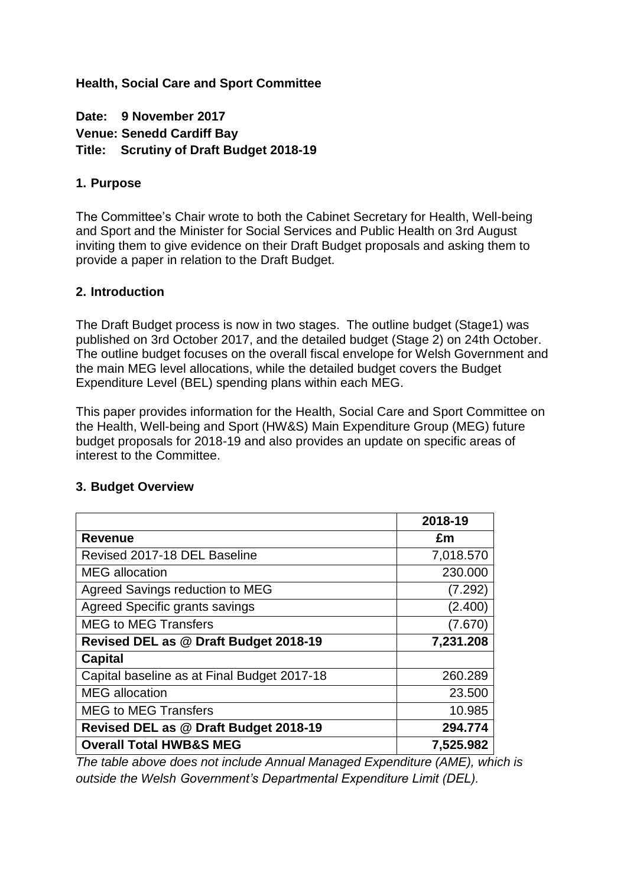#### **Health, Social Care and Sport Committee**

**Date: 9 November 2017 Venue: Senedd Cardiff Bay Title: Scrutiny of Draft Budget 2018-19**

#### **1. Purpose**

The Committee's Chair wrote to both the Cabinet Secretary for Health, Well-being and Sport and the Minister for Social Services and Public Health on 3rd August inviting them to give evidence on their Draft Budget proposals and asking them to provide a paper in relation to the Draft Budget.

#### **2. Introduction**

The Draft Budget process is now in two stages. The outline budget (Stage1) was published on 3rd October 2017, and the detailed budget (Stage 2) on 24th October. The outline budget focuses on the overall fiscal envelope for Welsh Government and the main MEG level allocations, while the detailed budget covers the Budget Expenditure Level (BEL) spending plans within each MEG.

This paper provides information for the Health, Social Care and Sport Committee on the Health, Well-being and Sport (HW&S) Main Expenditure Group (MEG) future budget proposals for 2018-19 and also provides an update on specific areas of interest to the Committee.

|                                             | 2018-19   |
|---------------------------------------------|-----------|
| Revenue                                     | £m        |
| Revised 2017-18 DEL Baseline                | 7,018.570 |
| <b>MEG</b> allocation                       | 230.000   |
| Agreed Savings reduction to MEG             | (7.292)   |
| Agreed Specific grants savings              | (2.400)   |
| <b>MEG to MEG Transfers</b>                 | (7.670)   |
| Revised DEL as @ Draft Budget 2018-19       | 7,231.208 |
| <b>Capital</b>                              |           |
| Capital baseline as at Final Budget 2017-18 | 260.289   |
| <b>MEG</b> allocation                       | 23.500    |
| <b>MEG to MEG Transfers</b>                 | 10.985    |
| Revised DEL as @ Draft Budget 2018-19       | 294.774   |
| <b>Overall Total HWB&amp;S MEG</b>          | 7,525.982 |

#### **3. Budget Overview**

*The table above does not include Annual Managed Expenditure (AME), which is outside the Welsh Government's Departmental Expenditure Limit (DEL).*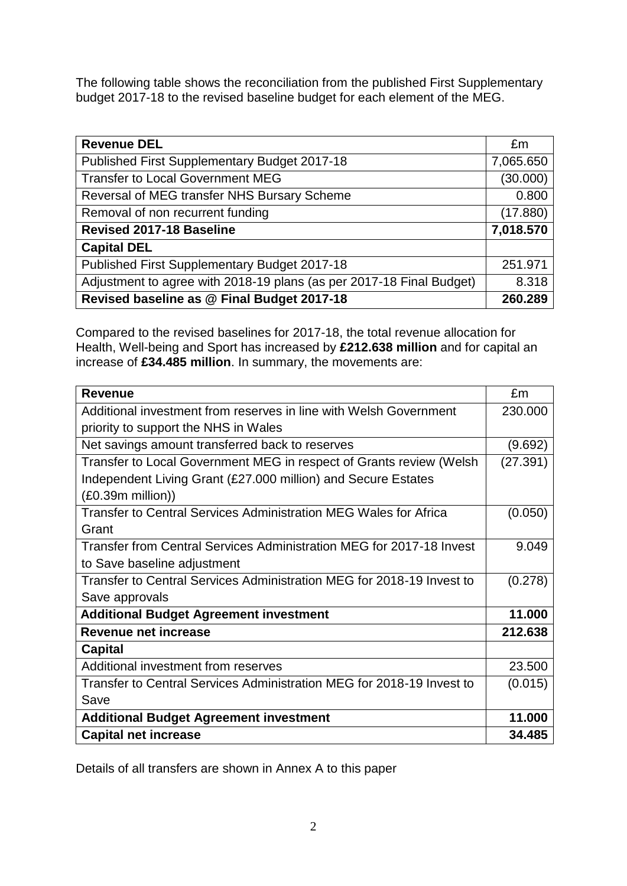The following table shows the reconciliation from the published First Supplementary budget 2017-18 to the revised baseline budget for each element of the MEG.

| <b>Revenue DEL</b>                                                   | £m        |
|----------------------------------------------------------------------|-----------|
| Published First Supplementary Budget 2017-18                         | 7,065.650 |
| <b>Transfer to Local Government MEG</b>                              | (30.000)  |
| Reversal of MEG transfer NHS Bursary Scheme                          | 0.800     |
| Removal of non recurrent funding                                     | (17.880)  |
| <b>Revised 2017-18 Baseline</b>                                      | 7,018.570 |
| <b>Capital DEL</b>                                                   |           |
| Published First Supplementary Budget 2017-18                         | 251.971   |
| Adjustment to agree with 2018-19 plans (as per 2017-18 Final Budget) | 8.318     |
| Revised baseline as @ Final Budget 2017-18                           | 260.289   |

Compared to the revised baselines for 2017-18, the total revenue allocation for Health, Well-being and Sport has increased by **£212.638 million** and for capital an increase of **£34.485 million**. In summary, the movements are:

| <b>Revenue</b>                                                        | £m       |
|-----------------------------------------------------------------------|----------|
| Additional investment from reserves in line with Welsh Government     | 230.000  |
| priority to support the NHS in Wales                                  |          |
| Net savings amount transferred back to reserves                       | (9.692)  |
| Transfer to Local Government MEG in respect of Grants review (Welsh   | (27.391) |
| Independent Living Grant (£27.000 million) and Secure Estates         |          |
| (£0.39m million))                                                     |          |
| Transfer to Central Services Administration MEG Wales for Africa      | (0.050)  |
| Grant                                                                 |          |
| Transfer from Central Services Administration MEG for 2017-18 Invest  | 9.049    |
| to Save baseline adjustment                                           |          |
| Transfer to Central Services Administration MEG for 2018-19 Invest to | (0.278)  |
| Save approvals                                                        |          |
| <b>Additional Budget Agreement investment</b>                         | 11.000   |
| <b>Revenue net increase</b>                                           | 212.638  |
| <b>Capital</b>                                                        |          |
| Additional investment from reserves                                   | 23.500   |
| Transfer to Central Services Administration MEG for 2018-19 Invest to | (0.015)  |
| Save                                                                  |          |
| <b>Additional Budget Agreement investment</b>                         | 11.000   |
| <b>Capital net increase</b>                                           | 34.485   |

Details of all transfers are shown in Annex A to this paper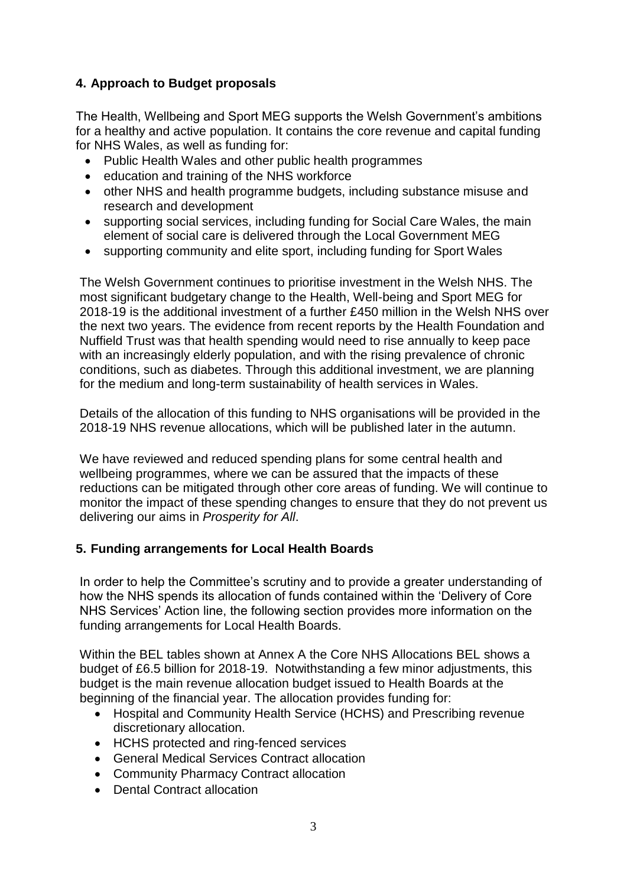#### **4. Approach to Budget proposals**

The Health, Wellbeing and Sport MEG supports the Welsh Government's ambitions for a healthy and active population. It contains the core revenue and capital funding for NHS Wales, as well as funding for:

- Public Health Wales and other public health programmes
- education and training of the NHS workforce
- other NHS and health programme budgets, including substance misuse and research and development
- supporting social services, including funding for Social Care Wales, the main element of social care is delivered through the Local Government MEG
- supporting community and elite sport, including funding for Sport Wales

The Welsh Government continues to prioritise investment in the Welsh NHS. The most significant budgetary change to the Health, Well-being and Sport MEG for 2018-19 is the additional investment of a further £450 million in the Welsh NHS over the next two years. The evidence from recent reports by the Health Foundation and Nuffield Trust was that health spending would need to rise annually to keep pace with an increasingly elderly population, and with the rising prevalence of chronic conditions, such as diabetes. Through this additional investment, we are planning for the medium and long-term sustainability of health services in Wales.

Details of the allocation of this funding to NHS organisations will be provided in the 2018-19 NHS revenue allocations, which will be published later in the autumn.

We have reviewed and reduced spending plans for some central health and wellbeing programmes, where we can be assured that the impacts of these reductions can be mitigated through other core areas of funding. We will continue to monitor the impact of these spending changes to ensure that they do not prevent us delivering our aims in *Prosperity for All*.

#### **5. Funding arrangements for Local Health Boards**

In order to help the Committee's scrutiny and to provide a greater understanding of how the NHS spends its allocation of funds contained within the 'Delivery of Core NHS Services' Action line, the following section provides more information on the funding arrangements for Local Health Boards.

Within the BEL tables shown at Annex A the Core NHS Allocations BEL shows a budget of £6.5 billion for 2018-19. Notwithstanding a few minor adjustments, this budget is the main revenue allocation budget issued to Health Boards at the beginning of the financial year. The allocation provides funding for:

- Hospital and Community Health Service (HCHS) and Prescribing revenue discretionary allocation.
- HCHS protected and ring-fenced services
- General Medical Services Contract allocation
- Community Pharmacy Contract allocation
- Dental Contract allocation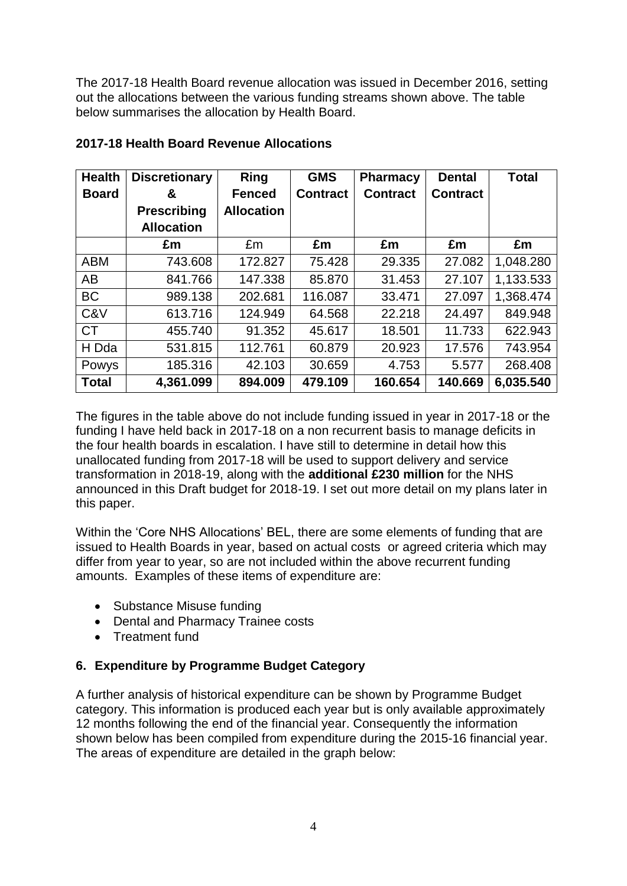The 2017-18 Health Board revenue allocation was issued in December 2016, setting out the allocations between the various funding streams shown above. The table below summarises the allocation by Health Board.

| <b>Health</b> | <b>Discretionary</b> | <b>Ring</b>       | <b>GMS</b>      | <b>Pharmacy</b> | <b>Dental</b>   | <b>Total</b> |
|---------------|----------------------|-------------------|-----------------|-----------------|-----------------|--------------|
| <b>Board</b>  | &                    | <b>Fenced</b>     | <b>Contract</b> | <b>Contract</b> | <b>Contract</b> |              |
|               | <b>Prescribing</b>   | <b>Allocation</b> |                 |                 |                 |              |
|               | <b>Allocation</b>    |                   |                 |                 |                 |              |
|               | £m                   | £m                | £m              | £m              | £m              | £m           |
| <b>ABM</b>    | 743.608              | 172.827           | 75.428          | 29.335          | 27.082          | 1,048.280    |
| AB            | 841.766              | 147.338           | 85,870          | 31.453          | 27.107          | 1,133.533    |
| <b>BC</b>     | 989.138              | 202.681           | 116.087         | 33.471          | 27.097          | 1,368.474    |
| C&V           | 613.716              | 124.949           | 64.568          | 22.218          | 24.497          | 849.948      |
| <b>CT</b>     | 455.740              | 91.352            | 45.617          | 18.501          | 11.733          | 622.943      |
| H Dda         | 531.815              | 112.761           | 60.879          | 20.923          | 17.576          | 743.954      |
| Powys         | 185.316              | 42.103            | 30.659          | 4.753           | 5.577           | 268.408      |
| <b>Total</b>  | 4,361.099            | 894.009           | 479.109         | 160.654         | 140.669         | 6,035.540    |

#### **2017-18 Health Board Revenue Allocations**

The figures in the table above do not include funding issued in year in 2017-18 or the funding I have held back in 2017-18 on a non recurrent basis to manage deficits in the four health boards in escalation. I have still to determine in detail how this unallocated funding from 2017-18 will be used to support delivery and service transformation in 2018-19, along with the **additional £230 million** for the NHS announced in this Draft budget for 2018-19. I set out more detail on my plans later in this paper.

Within the 'Core NHS Allocations' BEL, there are some elements of funding that are issued to Health Boards in year, based on actual costs or agreed criteria which may differ from year to year, so are not included within the above recurrent funding amounts. Examples of these items of expenditure are:

- Substance Misuse funding
- Dental and Pharmacy Trainee costs
- Treatment fund

#### **6. Expenditure by Programme Budget Category**

A further analysis of historical expenditure can be shown by Programme Budget category. This information is produced each year but is only available approximately 12 months following the end of the financial year. Consequently the information shown below has been compiled from expenditure during the 2015-16 financial year. The areas of expenditure are detailed in the graph below: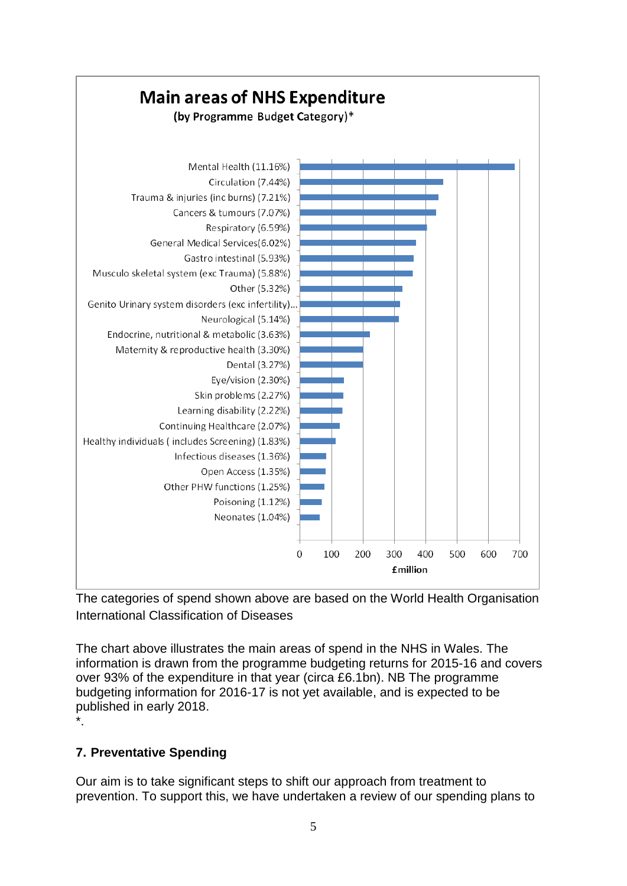

The categories of spend shown above are based on the World Health Organisation International Classification of Diseases

The chart above illustrates the main areas of spend in the NHS in Wales. The information is drawn from the programme budgeting returns for 2015-16 and covers over 93% of the expenditure in that year (circa £6.1bn). NB The programme budgeting information for 2016-17 is not yet available, and is expected to be published in early 2018. \*.

### **7. Preventative Spending**

Our aim is to take significant steps to shift our approach from treatment to prevention. To support this, we have undertaken a review of our spending plans to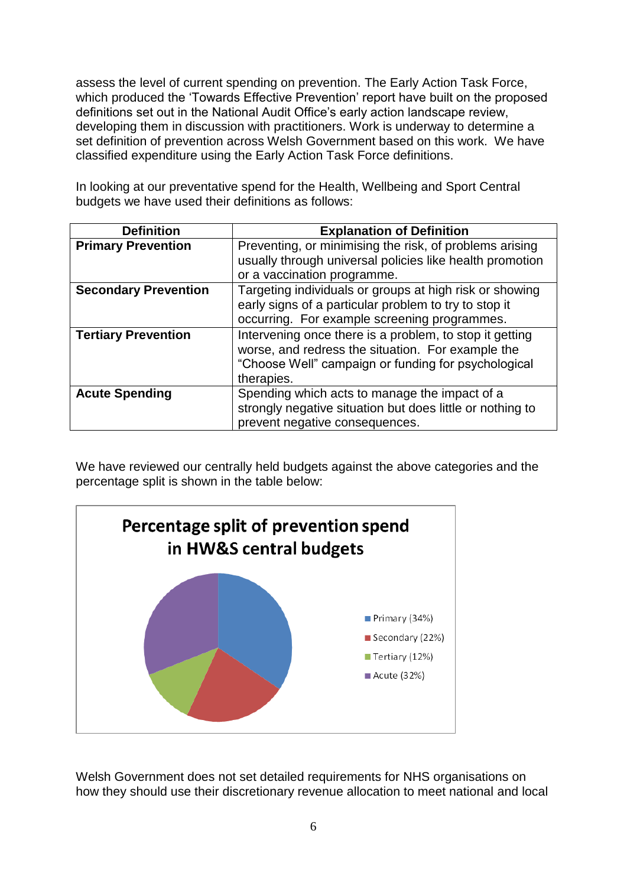assess the level of current spending on prevention. The Early Action Task Force, which produced the 'Towards Effective Prevention' report have built on the proposed definitions set out in the National Audit Office's early action landscape review, developing them in discussion with practitioners. Work is underway to determine a set definition of prevention across Welsh Government based on this work. We have classified expenditure using the Early Action Task Force definitions.

In looking at our preventative spend for the Health, Wellbeing and Sport Central budgets we have used their definitions as follows:

| <b>Definition</b>           | <b>Explanation of Definition</b>                                                                                                                                                  |
|-----------------------------|-----------------------------------------------------------------------------------------------------------------------------------------------------------------------------------|
| <b>Primary Prevention</b>   | Preventing, or minimising the risk, of problems arising<br>usually through universal policies like health promotion<br>or a vaccination programme.                                |
| <b>Secondary Prevention</b> | Targeting individuals or groups at high risk or showing<br>early signs of a particular problem to try to stop it<br>occurring. For example screening programmes.                  |
| <b>Tertiary Prevention</b>  | Intervening once there is a problem, to stop it getting<br>worse, and redress the situation. For example the<br>"Choose Well" campaign or funding for psychological<br>therapies. |
| <b>Acute Spending</b>       | Spending which acts to manage the impact of a<br>strongly negative situation but does little or nothing to<br>prevent negative consequences.                                      |

We have reviewed our centrally held budgets against the above categories and the percentage split is shown in the table below:



Welsh Government does not set detailed requirements for NHS organisations on how they should use their discretionary revenue allocation to meet national and local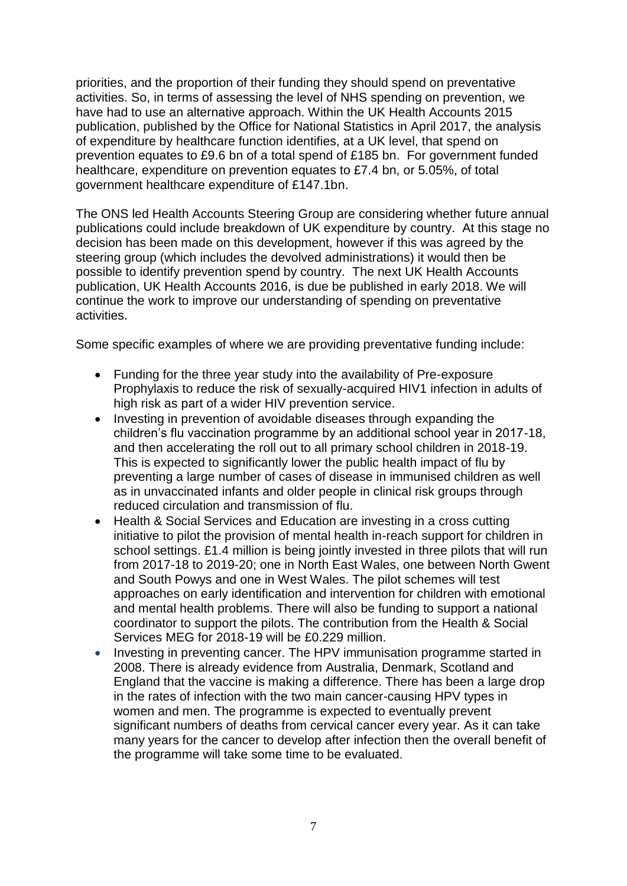priorities, and the proportion of their funding they should spend on preventative activities. So, in terms of assessing the level of NHS spending on prevention, we have had to use an alternative approach. Within the UK Health Accounts 2015 publication, published by the Office for National Statistics in April 2017, the analysis of expenditure by healthcare function identifies, at a UK level, that spend on prevention equates to £9.6 bn of a total spend of £185 bn. For government funded healthcare, expenditure on prevention equates to £7.4 bn, or 5.05%, of total government healthcare expenditure of £147.1bn.

The ONS led Health Accounts Steering Group are considering whether future annual publications could include breakdown of UK expenditure by country. At this stage no decision has been made on this development, however if this was agreed by the steering group (which includes the devolved administrations) it would then be possible to identify prevention spend by country. The next UK Health Accounts publication, UK Health Accounts 2016, is due be published in early 2018. We will continue the work to improve our understanding of spending on preventative activities.

Some specific examples of where we are providing preventative funding include:

- Funding for the three year study into the availability of Pre-exposure Prophylaxis to reduce the risk of sexually-acquired HIV1 infection in adults of high risk as part of a wider HIV prevention service.
- Investing in prevention of avoidable diseases through expanding the children's flu vaccination programme by an additional school year in 2017-18, and then accelerating the roll out to all primary school children in 2018-19. This is expected to significantly lower the public health impact of flu by preventing a large number of cases of disease in immunised children as well as in unvaccinated infants and older people in clinical risk groups through reduced circulation and transmission of flu.
- Health & Social Services and Education are investing in a cross cutting initiative to pilot the provision of mental health in-reach support for children in school settings. £1.4 million is being jointly invested in three pilots that will run from 2017-18 to 2019-20; one in North East Wales, one between North Gwent and South Powys and one in West Wales. The pilot schemes will test approaches on early identification and intervention for children with emotional and mental health problems. There will also be funding to support a national coordinator to support the pilots. The contribution from the Health & Social Services MEG for 2018-19 will be £0.229 million.
- Investing in preventing cancer. The HPV immunisation programme started in 2008. There is already evidence from Australia, Denmark, Scotland and England that the vaccine is making a difference. There has been a large drop in the rates of infection with the two main cancer-causing HPV types in women and men. The programme is expected to eventually prevent significant numbers of deaths from cervical cancer every year. As it can take many years for the cancer to develop after infection then the overall benefit of the programme will take some time to be evaluated.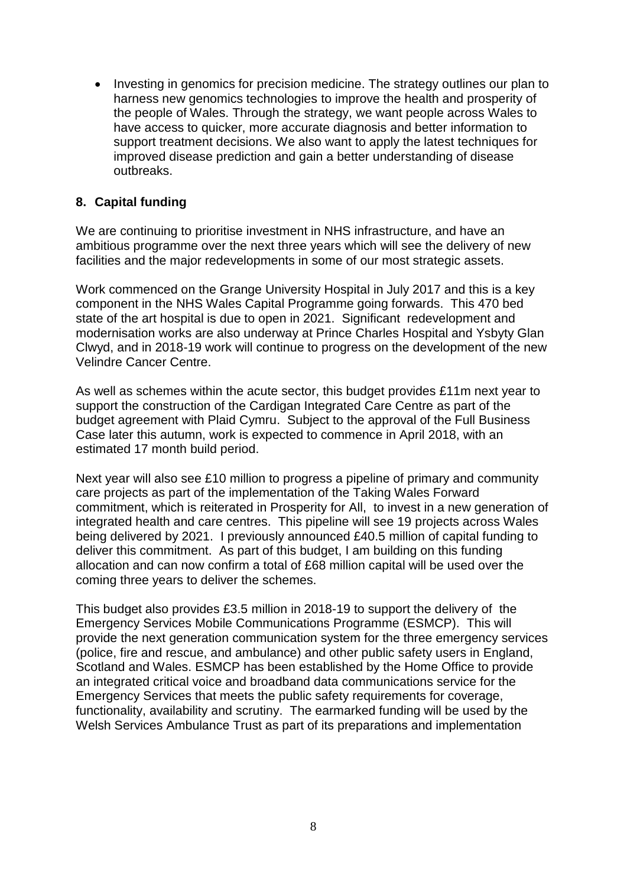Investing in genomics for precision medicine. The strategy outlines our plan to harness new genomics technologies to improve the health and prosperity of the people of Wales. Through the strategy, we want people across Wales to have access to quicker, more accurate diagnosis and better information to support treatment decisions. We also want to apply the latest techniques for improved disease prediction and gain a better understanding of disease outbreaks.

#### **8. Capital funding**

We are continuing to prioritise investment in NHS infrastructure, and have an ambitious programme over the next three years which will see the delivery of new facilities and the major redevelopments in some of our most strategic assets.

Work commenced on the Grange University Hospital in July 2017 and this is a key component in the NHS Wales Capital Programme going forwards. This 470 bed state of the art hospital is due to open in 2021. Significant redevelopment and modernisation works are also underway at Prince Charles Hospital and Ysbyty Glan Clwyd, and in 2018-19 work will continue to progress on the development of the new Velindre Cancer Centre.

As well as schemes within the acute sector, this budget provides £11m next year to support the construction of the Cardigan Integrated Care Centre as part of the budget agreement with Plaid Cymru. Subject to the approval of the Full Business Case later this autumn, work is expected to commence in April 2018, with an estimated 17 month build period.

Next year will also see £10 million to progress a pipeline of primary and community care projects as part of the implementation of the Taking Wales Forward commitment, which is reiterated in Prosperity for All, to invest in a new generation of integrated health and care centres. This pipeline will see 19 projects across Wales being delivered by 2021. I previously announced £40.5 million of capital funding to deliver this commitment. As part of this budget, I am building on this funding allocation and can now confirm a total of £68 million capital will be used over the coming three years to deliver the schemes.

This budget also provides £3.5 million in 2018-19 to support the delivery of the Emergency Services Mobile Communications Programme (ESMCP). This will provide the next generation communication system for the three emergency services (police, fire and rescue, and ambulance) and other public safety users in England, Scotland and Wales. ESMCP has been established by the Home Office to provide an integrated critical voice and broadband data communications service for the Emergency Services that meets the public safety requirements for coverage, functionality, availability and scrutiny. The earmarked funding will be used by the Welsh Services Ambulance Trust as part of its preparations and implementation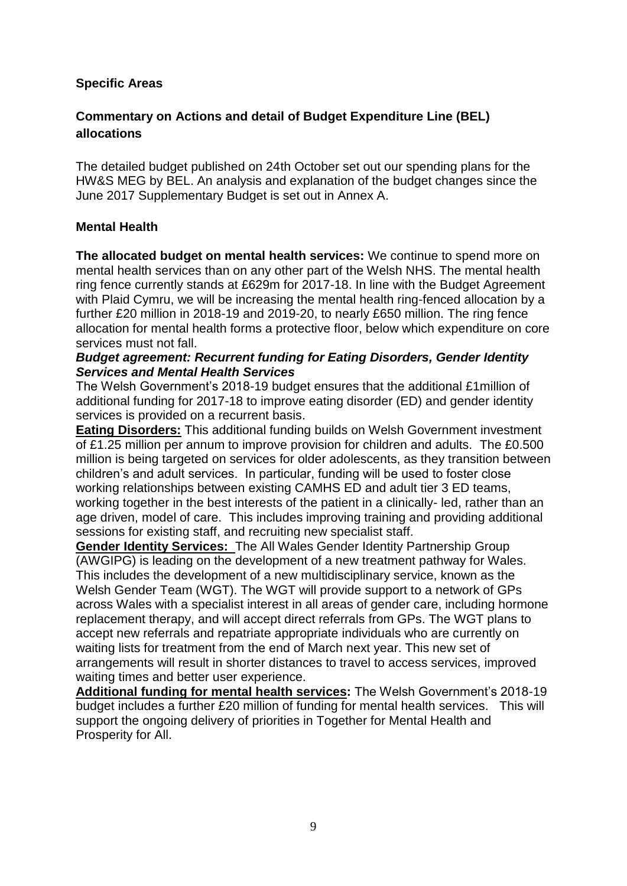#### **Specific Areas**

#### **Commentary on Actions and detail of Budget Expenditure Line (BEL) allocations**

The detailed budget published on 24th October set out our spending plans for the HW&S MEG by BEL. An analysis and explanation of the budget changes since the June 2017 Supplementary Budget is set out in Annex A.

#### **Mental Health**

**The allocated budget on mental health services:** We continue to spend more on mental health services than on any other part of the Welsh NHS. The mental health ring fence currently stands at £629m for 2017-18. In line with the Budget Agreement with Plaid Cymru, we will be increasing the mental health ring-fenced allocation by a further £20 million in 2018-19 and 2019-20, to nearly £650 million. The ring fence allocation for mental health forms a protective floor, below which expenditure on core services must not fall.

#### *Budget agreement: Recurrent funding for Eating Disorders, Gender Identity Services and Mental Health Services*

The Welsh Government's 2018-19 budget ensures that the additional £1million of additional funding for 2017-18 to improve eating disorder (ED) and gender identity services is provided on a recurrent basis.

**Eating Disorders:** This additional funding builds on Welsh Government investment of £1.25 million per annum to improve provision for children and adults. The £0.500 million is being targeted on services for older adolescents, as they transition between children's and adult services. In particular, funding will be used to foster close working relationships between existing CAMHS ED and adult tier 3 ED teams, working together in the best interests of the patient in a clinically- led, rather than an age driven, model of care. This includes improving training and providing additional sessions for existing staff, and recruiting new specialist staff.

**Gender Identity Services:** The All Wales Gender Identity Partnership Group (AWGIPG) is leading on the development of a new treatment pathway for Wales. This includes the development of a new multidisciplinary service, known as the Welsh Gender Team (WGT). The WGT will provide support to a network of GPs across Wales with a specialist interest in all areas of gender care, including hormone replacement therapy, and will accept direct referrals from GPs. The WGT plans to accept new referrals and repatriate appropriate individuals who are currently on waiting lists for treatment from the end of March next year. This new set of arrangements will result in shorter distances to travel to access services, improved waiting times and better user experience.

**Additional funding for mental health services:** The Welsh Government's 2018-19 budget includes a further £20 million of funding for mental health services. This will support the ongoing delivery of priorities in Together for Mental Health and Prosperity for All.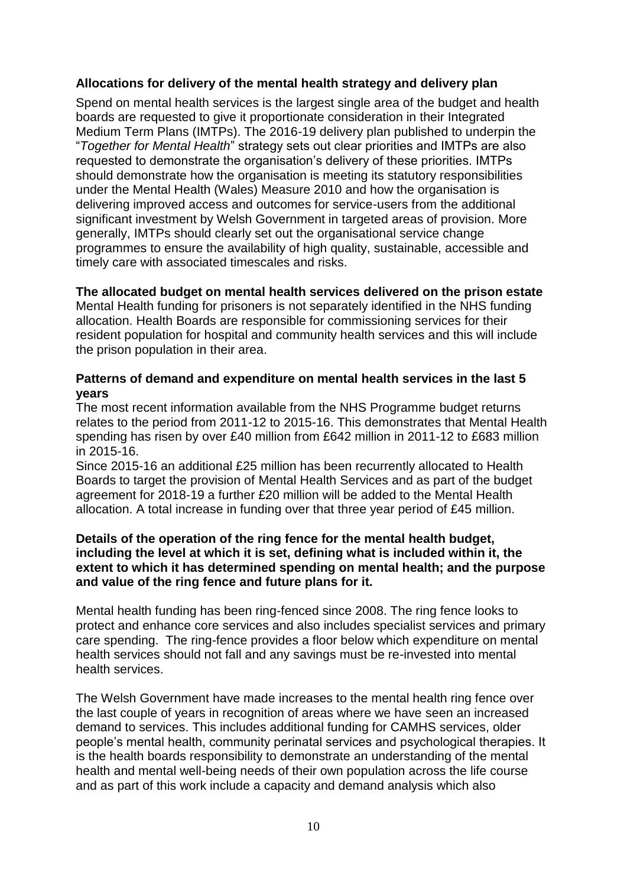#### **Allocations for delivery of the mental health strategy and delivery plan**

Spend on mental health services is the largest single area of the budget and health boards are requested to give it proportionate consideration in their Integrated Medium Term Plans (IMTPs). The 2016-19 delivery plan published to underpin the "*Together for Mental Health*" strategy sets out clear priorities and IMTPs are also requested to demonstrate the organisation's delivery of these priorities. IMTPs should demonstrate how the organisation is meeting its statutory responsibilities under the Mental Health (Wales) Measure 2010 and how the organisation is delivering improved access and outcomes for service-users from the additional significant investment by Welsh Government in targeted areas of provision. More generally, IMTPs should clearly set out the organisational service change programmes to ensure the availability of high quality, sustainable, accessible and timely care with associated timescales and risks.

#### **The allocated budget on mental health services delivered on the prison estate**

Mental Health funding for prisoners is not separately identified in the NHS funding allocation. Health Boards are responsible for commissioning services for their resident population for hospital and community health services and this will include the prison population in their area.

#### **Patterns of demand and expenditure on mental health services in the last 5 years**

The most recent information available from the NHS Programme budget returns relates to the period from 2011-12 to 2015-16. This demonstrates that Mental Health spending has risen by over £40 million from £642 million in 2011-12 to £683 million in 2015-16.

Since 2015-16 an additional £25 million has been recurrently allocated to Health Boards to target the provision of Mental Health Services and as part of the budget agreement for 2018-19 a further £20 million will be added to the Mental Health allocation. A total increase in funding over that three year period of £45 million.

#### **Details of the operation of the ring fence for the mental health budget, including the level at which it is set, defining what is included within it, the extent to which it has determined spending on mental health; and the purpose and value of the ring fence and future plans for it.**

Mental health funding has been ring-fenced since 2008. The ring fence looks to protect and enhance core services and also includes specialist services and primary care spending. The ring-fence provides a floor below which expenditure on mental health services should not fall and any savings must be re-invested into mental health services.

The Welsh Government have made increases to the mental health ring fence over the last couple of years in recognition of areas where we have seen an increased demand to services. This includes additional funding for CAMHS services, older people's mental health, community perinatal services and psychological therapies. It is the health boards responsibility to demonstrate an understanding of the mental health and mental well-being needs of their own population across the life course and as part of this work include a capacity and demand analysis which also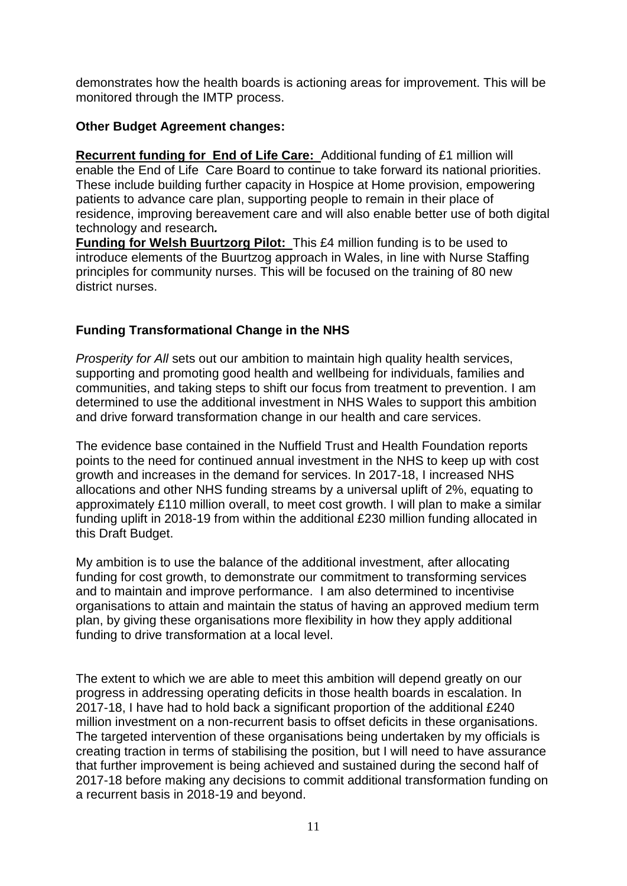demonstrates how the health boards is actioning areas for improvement. This will be monitored through the IMTP process.

#### **Other Budget Agreement changes:**

**Recurrent funding for End of Life Care:** Additional funding of £1 million will enable the End of Life Care Board to continue to take forward its national priorities. These include building further capacity in Hospice at Home provision, empowering patients to advance care plan, supporting people to remain in their place of residence, improving bereavement care and will also enable better use of both digital technology and research*.*

**Funding for Welsh Buurtzorg Pilot:** This £4 million funding is to be used to introduce elements of the Buurtzog approach in Wales, in line with Nurse Staffing principles for community nurses. This will be focused on the training of 80 new district nurses.

### **Funding Transformational Change in the NHS**

*Prosperity for All* sets out our ambition to maintain high quality health services, supporting and promoting good health and wellbeing for individuals, families and communities, and taking steps to shift our focus from treatment to prevention. I am determined to use the additional investment in NHS Wales to support this ambition and drive forward transformation change in our health and care services.

The evidence base contained in the Nuffield Trust and Health Foundation reports points to the need for continued annual investment in the NHS to keep up with cost growth and increases in the demand for services. In 2017-18, I increased NHS allocations and other NHS funding streams by a universal uplift of 2%, equating to approximately £110 million overall, to meet cost growth. I will plan to make a similar funding uplift in 2018-19 from within the additional £230 million funding allocated in this Draft Budget.

My ambition is to use the balance of the additional investment, after allocating funding for cost growth, to demonstrate our commitment to transforming services and to maintain and improve performance. I am also determined to incentivise organisations to attain and maintain the status of having an approved medium term plan, by giving these organisations more flexibility in how they apply additional funding to drive transformation at a local level.

The extent to which we are able to meet this ambition will depend greatly on our progress in addressing operating deficits in those health boards in escalation. In 2017-18, I have had to hold back a significant proportion of the additional £240 million investment on a non-recurrent basis to offset deficits in these organisations. The targeted intervention of these organisations being undertaken by my officials is creating traction in terms of stabilising the position, but I will need to have assurance that further improvement is being achieved and sustained during the second half of 2017-18 before making any decisions to commit additional transformation funding on a recurrent basis in 2018-19 and beyond.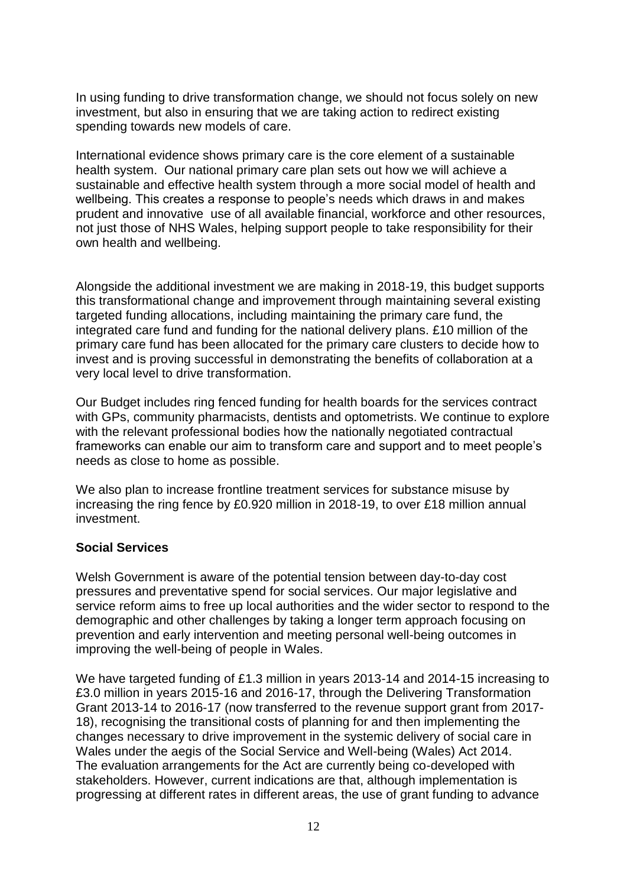In using funding to drive transformation change, we should not focus solely on new investment, but also in ensuring that we are taking action to redirect existing spending towards new models of care.

International evidence shows primary care is the core element of a sustainable health system. Our national primary care plan sets out how we will achieve a sustainable and effective health system through a more social model of health and wellbeing. This creates a response to people's needs which draws in and makes prudent and innovative use of all available financial, workforce and other resources, not just those of NHS Wales, helping support people to take responsibility for their own health and wellbeing.

Alongside the additional investment we are making in 2018-19, this budget supports this transformational change and improvement through maintaining several existing targeted funding allocations, including maintaining the primary care fund, the integrated care fund and funding for the national delivery plans. £10 million of the primary care fund has been allocated for the primary care clusters to decide how to invest and is proving successful in demonstrating the benefits of collaboration at a very local level to drive transformation.

Our Budget includes ring fenced funding for health boards for the services contract with GPs, community pharmacists, dentists and optometrists. We continue to explore with the relevant professional bodies how the nationally negotiated contractual frameworks can enable our aim to transform care and support and to meet people's needs as close to home as possible.

We also plan to increase frontline treatment services for substance misuse by increasing the ring fence by £0.920 million in 2018-19, to over £18 million annual investment.

#### **Social Services**

Welsh Government is aware of the potential tension between day-to-day cost pressures and preventative spend for social services. Our major legislative and service reform aims to free up local authorities and the wider sector to respond to the demographic and other challenges by taking a longer term approach focusing on prevention and early intervention and meeting personal well-being outcomes in improving the well-being of people in Wales.

We have targeted funding of £1.3 million in years 2013-14 and 2014-15 increasing to £3.0 million in years 2015-16 and 2016-17, through the Delivering Transformation Grant 2013-14 to 2016-17 (now transferred to the revenue support grant from 2017- 18), recognising the transitional costs of planning for and then implementing the changes necessary to drive improvement in the systemic delivery of social care in Wales under the aegis of the Social Service and Well-being (Wales) Act 2014. The evaluation arrangements for the Act are currently being co-developed with stakeholders. However, current indications are that, although implementation is progressing at different rates in different areas, the use of grant funding to advance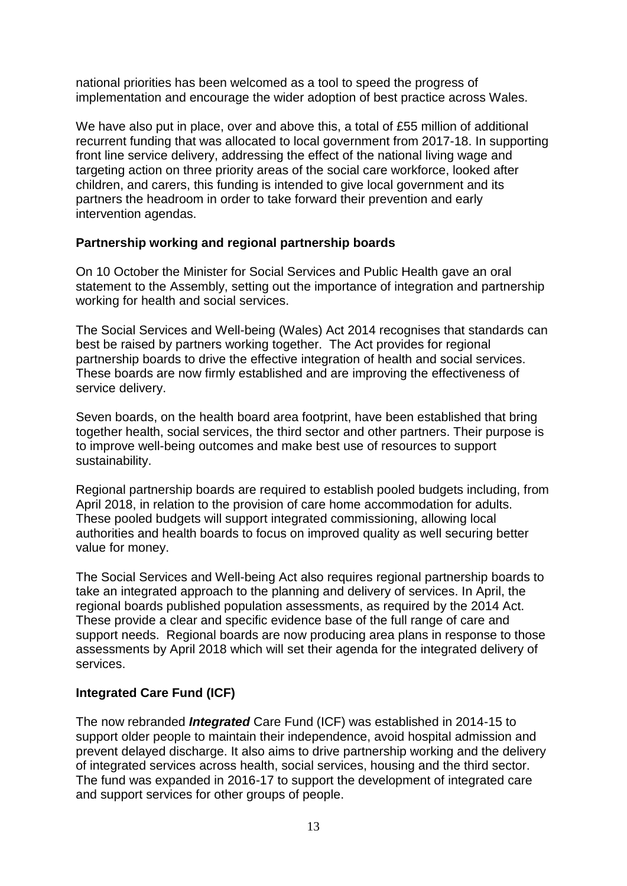national priorities has been welcomed as a tool to speed the progress of implementation and encourage the wider adoption of best practice across Wales.

We have also put in place, over and above this, a total of £55 million of additional recurrent funding that was allocated to local government from 2017-18. In supporting front line service delivery, addressing the effect of the national living wage and targeting action on three priority areas of the social care workforce, looked after children, and carers, this funding is intended to give local government and its partners the headroom in order to take forward their prevention and early intervention agendas.

#### **Partnership working and regional partnership boards**

On 10 October the Minister for Social Services and Public Health gave an oral statement to the Assembly, setting out the importance of integration and partnership working for health and social services.

The Social Services and Well-being (Wales) Act 2014 recognises that standards can best be raised by partners working together. The Act provides for regional partnership boards to drive the effective integration of health and social services. These boards are now firmly established and are improving the effectiveness of service delivery.

Seven boards, on the health board area footprint, have been established that bring together health, social services, the third sector and other partners. Their purpose is to improve well-being outcomes and make best use of resources to support sustainability.

Regional partnership boards are required to establish pooled budgets including, from April 2018, in relation to the provision of care home accommodation for adults. These pooled budgets will support integrated commissioning, allowing local authorities and health boards to focus on improved quality as well securing better value for money.

The Social Services and Well-being Act also requires regional partnership boards to take an integrated approach to the planning and delivery of services. In April, the regional boards published population assessments, as required by the 2014 Act. These provide a clear and specific evidence base of the full range of care and support needs. Regional boards are now producing area plans in response to those assessments by April 2018 which will set their agenda for the integrated delivery of services.

#### **Integrated Care Fund (ICF)**

The now rebranded *Integrated* Care Fund (ICF) was established in 2014-15 to support older people to maintain their independence, avoid hospital admission and prevent delayed discharge. It also aims to drive partnership working and the delivery of integrated services across health, social services, housing and the third sector. The fund was expanded in 2016-17 to support the development of integrated care and support services for other groups of people.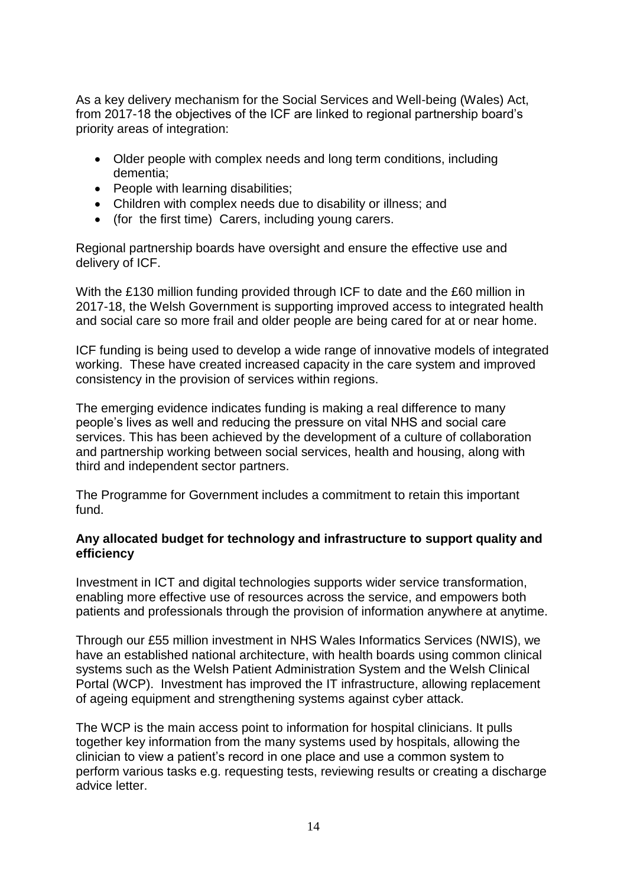As a key delivery mechanism for the Social Services and Well-being (Wales) Act, from 2017-18 the objectives of the ICF are linked to regional partnership board's priority areas of integration:

- Older people with complex needs and long term conditions, including dementia;
- People with learning disabilities;
- Children with complex needs due to disability or illness; and
- (for the first time) Carers, including young carers.

Regional partnership boards have oversight and ensure the effective use and delivery of ICF.

With the £130 million funding provided through ICF to date and the £60 million in 2017-18, the Welsh Government is supporting improved access to integrated health and social care so more frail and older people are being cared for at or near home.

ICF funding is being used to develop a wide range of innovative models of integrated working. These have created increased capacity in the care system and improved consistency in the provision of services within regions.

The emerging evidence indicates funding is making a real difference to many people's lives as well and reducing the pressure on vital NHS and social care services. This has been achieved by the development of a culture of collaboration and partnership working between social services, health and housing, along with third and independent sector partners.

The Programme for Government includes a commitment to retain this important fund.

#### **Any allocated budget for technology and infrastructure to support quality and efficiency**

Investment in ICT and digital technologies supports wider service transformation, enabling more effective use of resources across the service, and empowers both patients and professionals through the provision of information anywhere at anytime.

Through our £55 million investment in NHS Wales Informatics Services (NWIS), we have an established national architecture, with health boards using common clinical systems such as the Welsh Patient Administration System and the Welsh Clinical Portal (WCP). Investment has improved the IT infrastructure, allowing replacement of ageing equipment and strengthening systems against cyber attack.

The WCP is the main access point to information for hospital clinicians. It pulls together key information from the many systems used by hospitals, allowing the clinician to view a patient's record in one place and use a common system to perform various tasks e.g. requesting tests, reviewing results or creating a discharge advice letter.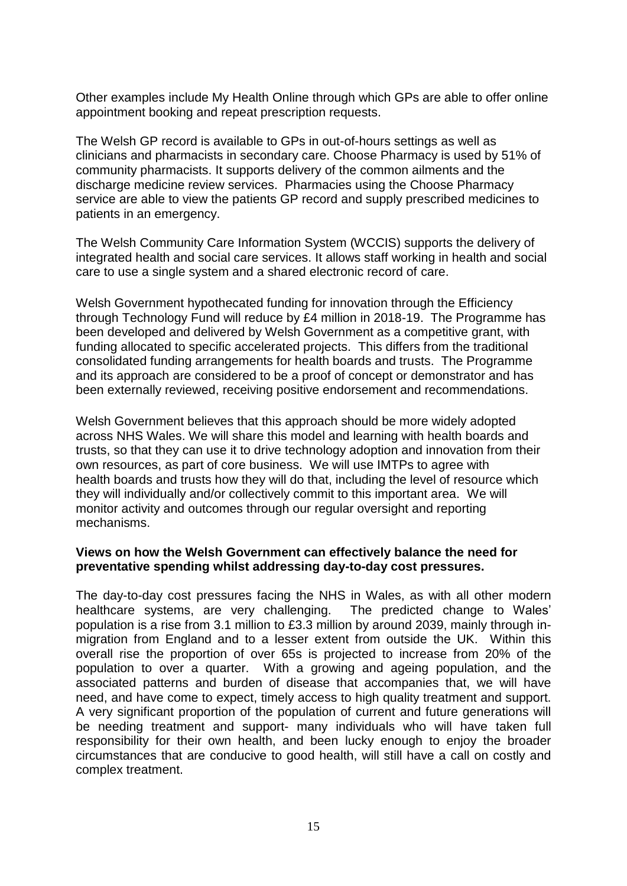Other examples include My Health Online through which GPs are able to offer online appointment booking and repeat prescription requests.

The Welsh GP record is available to GPs in out-of-hours settings as well as clinicians and pharmacists in secondary care. Choose Pharmacy is used by 51% of community pharmacists. It supports delivery of the common ailments and the discharge medicine review services. Pharmacies using the Choose Pharmacy service are able to view the patients GP record and supply prescribed medicines to patients in an emergency.

The Welsh Community Care Information System (WCCIS) supports the delivery of integrated health and social care services. It allows staff working in health and social care to use a single system and a shared electronic record of care.

Welsh Government hypothecated funding for innovation through the Efficiency through Technology Fund will reduce by £4 million in 2018-19. The Programme has been developed and delivered by Welsh Government as a competitive grant, with funding allocated to specific accelerated projects. This differs from the traditional consolidated funding arrangements for health boards and trusts. The Programme and its approach are considered to be a proof of concept or demonstrator and has been externally reviewed, receiving positive endorsement and recommendations.

Welsh Government believes that this approach should be more widely adopted across NHS Wales. We will share this model and learning with health boards and trusts, so that they can use it to drive technology adoption and innovation from their own resources, as part of core business. We will use IMTPs to agree with health boards and trusts how they will do that, including the level of resource which they will individually and/or collectively commit to this important area. We will monitor activity and outcomes through our regular oversight and reporting mechanisms.

#### **Views on how the Welsh Government can effectively balance the need for preventative spending whilst addressing day-to-day cost pressures.**

The day-to-day cost pressures facing the NHS in Wales, as with all other modern healthcare systems, are very challenging. The predicted change to Wales' population is a rise from 3.1 million to £3.3 million by around 2039, mainly through inmigration from England and to a lesser extent from outside the UK. Within this overall rise the proportion of over 65s is projected to increase from 20% of the population to over a quarter. With a growing and ageing population, and the associated patterns and burden of disease that accompanies that, we will have need, and have come to expect, timely access to high quality treatment and support. A very significant proportion of the population of current and future generations will be needing treatment and support- many individuals who will have taken full responsibility for their own health, and been lucky enough to enjoy the broader circumstances that are conducive to good health, will still have a call on costly and complex treatment.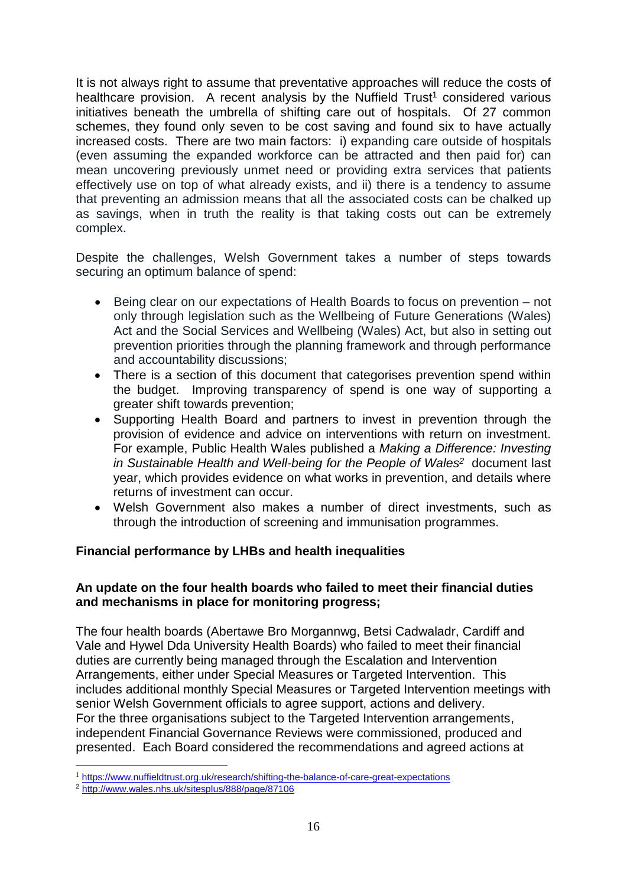It is not always right to assume that preventative approaches will reduce the costs of healthcare provision. A recent analysis by the Nuffield Trust<sup>1</sup> considered various initiatives beneath the umbrella of shifting care out of hospitals. Of 27 common schemes, they found only seven to be cost saving and found six to have actually increased costs. There are two main factors: i) expanding care outside of hospitals (even assuming the expanded workforce can be attracted and then paid for) can mean uncovering previously unmet need or providing extra services that patients effectively use on top of what already exists, and ii) there is a tendency to assume that preventing an admission means that all the associated costs can be chalked up as savings, when in truth the reality is that taking costs out can be extremely complex.

Despite the challenges, Welsh Government takes a number of steps towards securing an optimum balance of spend:

- Being clear on our expectations of Health Boards to focus on prevention not only through legislation such as the Wellbeing of Future Generations (Wales) Act and the Social Services and Wellbeing (Wales) Act, but also in setting out prevention priorities through the planning framework and through performance and accountability discussions;
- There is a section of this document that categorises prevention spend within the budget. Improving transparency of spend is one way of supporting a greater shift towards prevention;
- Supporting Health Board and partners to invest in prevention through the provision of evidence and advice on interventions with return on investment. For example, Public Health Wales published a *Making a Difference: Investing in Sustainable Health and Well-being for the People of Wales<sup>2</sup>* document last year, which provides evidence on what works in prevention, and details where returns of investment can occur.
- Welsh Government also makes a number of direct investments, such as through the introduction of screening and immunisation programmes.

#### **Financial performance by LHBs and health inequalities**

#### **An update on the four health boards who failed to meet their financial duties and mechanisms in place for monitoring progress;**

The four health boards (Abertawe Bro Morgannwg, Betsi Cadwaladr, Cardiff and Vale and Hywel Dda University Health Boards) who failed to meet their financial duties are currently being managed through the Escalation and Intervention Arrangements, either under Special Measures or Targeted Intervention. This includes additional monthly Special Measures or Targeted Intervention meetings with senior Welsh Government officials to agree support, actions and delivery. For the three organisations subject to the Targeted Intervention arrangements, independent Financial Governance Reviews were commissioned, produced and presented. Each Board considered the recommendations and agreed actions at

1

<sup>&</sup>lt;sup>1</sup> <https://www.nuffieldtrust.org.uk/research/shifting-the-balance-of-care-great-expectations>

<sup>2</sup> <http://www.wales.nhs.uk/sitesplus/888/page/87106>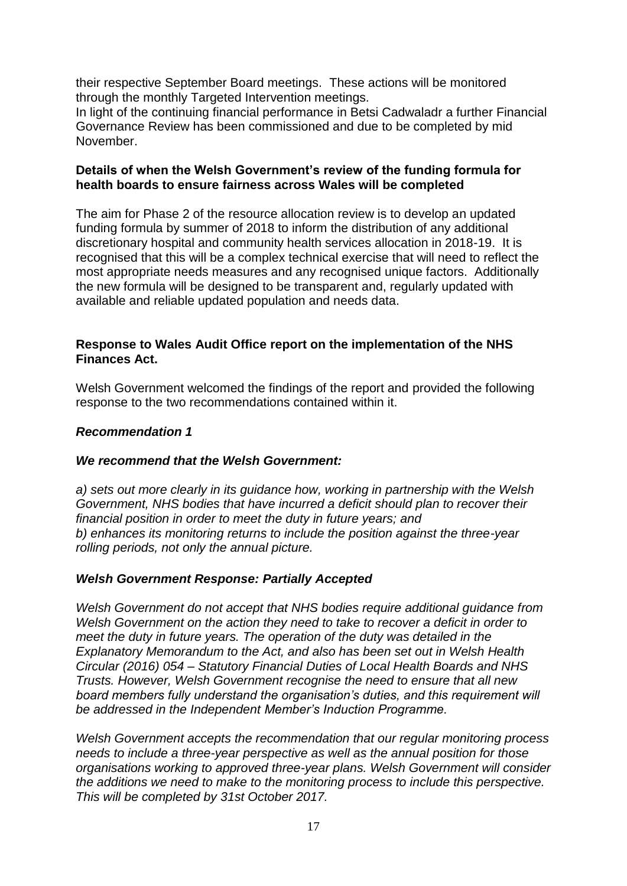their respective September Board meetings. These actions will be monitored through the monthly Targeted Intervention meetings.

In light of the continuing financial performance in Betsi Cadwaladr a further Financial Governance Review has been commissioned and due to be completed by mid November.

#### **Details of when the Welsh Government's review of the funding formula for health boards to ensure fairness across Wales will be completed**

The aim for Phase 2 of the resource allocation review is to develop an updated funding formula by summer of 2018 to inform the distribution of any additional discretionary hospital and community health services allocation in 2018-19. It is recognised that this will be a complex technical exercise that will need to reflect the most appropriate needs measures and any recognised unique factors. Additionally the new formula will be designed to be transparent and, regularly updated with available and reliable updated population and needs data.

#### **Response to Wales Audit Office report on the implementation of the NHS Finances Act.**

Welsh Government welcomed the findings of the report and provided the following response to the two recommendations contained within it.

#### *Recommendation 1*

#### *We recommend that the Welsh Government:*

*a) sets out more clearly in its guidance how, working in partnership with the Welsh Government, NHS bodies that have incurred a deficit should plan to recover their financial position in order to meet the duty in future years; and b) enhances its monitoring returns to include the position against the three-year rolling periods, not only the annual picture.*

#### *Welsh Government Response: Partially Accepted*

*Welsh Government do not accept that NHS bodies require additional guidance from Welsh Government on the action they need to take to recover a deficit in order to meet the duty in future years. The operation of the duty was detailed in the Explanatory Memorandum to the Act, and also has been set out in Welsh Health Circular (2016) 054 – Statutory Financial Duties of Local Health Boards and NHS Trusts. However, Welsh Government recognise the need to ensure that all new board members fully understand the organisation's duties, and this requirement will be addressed in the Independent Member's Induction Programme.*

*Welsh Government accepts the recommendation that our regular monitoring process needs to include a three-year perspective as well as the annual position for those organisations working to approved three-year plans. Welsh Government will consider the additions we need to make to the monitoring process to include this perspective. This will be completed by 31st October 2017.*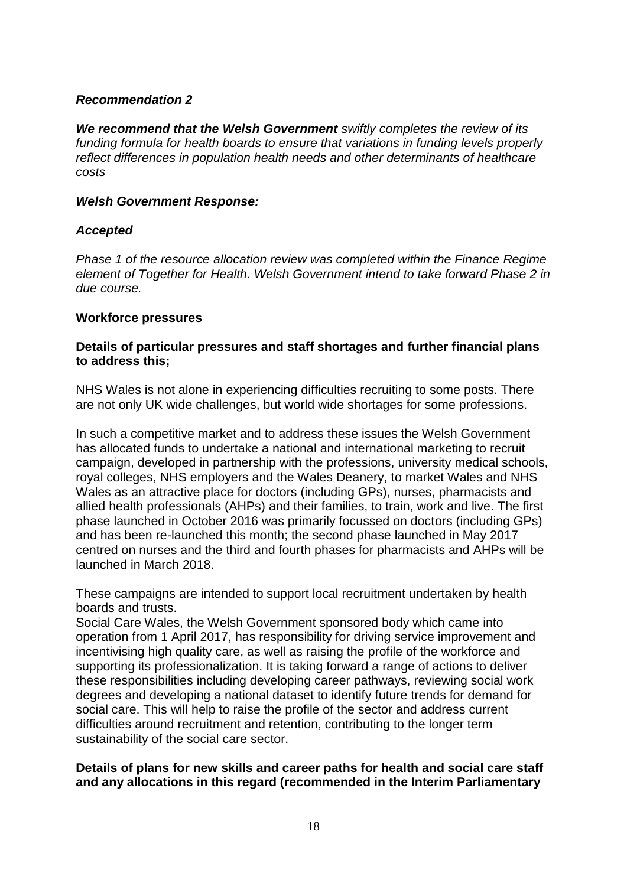#### *Recommendation 2*

*We recommend that the Welsh Government swiftly completes the review of its funding formula for health boards to ensure that variations in funding levels properly reflect differences in population health needs and other determinants of healthcare costs* 

#### *Welsh Government Response:*

#### *Accepted*

*Phase 1 of the resource allocation review was completed within the Finance Regime element of Together for Health. Welsh Government intend to take forward Phase 2 in due course.* 

#### **Workforce pressures**

#### **Details of particular pressures and staff shortages and further financial plans to address this;**

NHS Wales is not alone in experiencing difficulties recruiting to some posts. There are not only UK wide challenges, but world wide shortages for some professions.

In such a competitive market and to address these issues the Welsh Government has allocated funds to undertake a national and international marketing to recruit campaign, developed in partnership with the professions, university medical schools, royal colleges, NHS employers and the Wales Deanery, to market Wales and NHS Wales as an attractive place for doctors (including GPs), nurses, pharmacists and allied health professionals (AHPs) and their families, to train, work and live. The first phase launched in October 2016 was primarily focussed on doctors (including GPs) and has been re-launched this month; the second phase launched in May 2017 centred on nurses and the third and fourth phases for pharmacists and AHPs will be launched in March 2018.

These campaigns are intended to support local recruitment undertaken by health boards and trusts.

Social Care Wales, the Welsh Government sponsored body which came into operation from 1 April 2017, has responsibility for driving service improvement and incentivising high quality care, as well as raising the profile of the workforce and supporting its professionalization. It is taking forward a range of actions to deliver these responsibilities including developing career pathways, reviewing social work degrees and developing a national dataset to identify future trends for demand for social care. This will help to raise the profile of the sector and address current difficulties around recruitment and retention, contributing to the longer term sustainability of the social care sector.

#### **Details of plans for new skills and career paths for health and social care staff and any allocations in this regard (recommended in the Interim Parliamentary**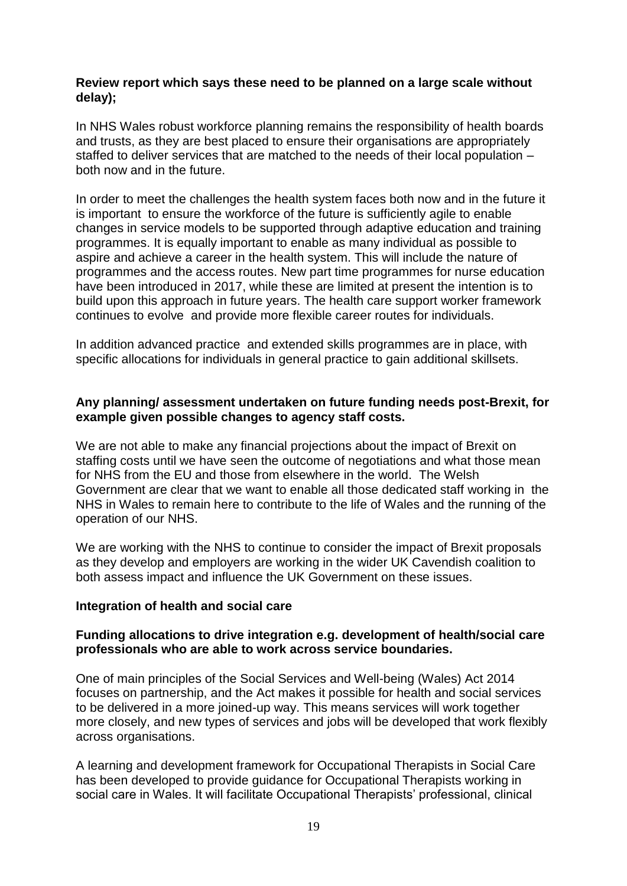#### **Review report which says these need to be planned on a large scale without delay);**

In NHS Wales robust workforce planning remains the responsibility of health boards and trusts, as they are best placed to ensure their organisations are appropriately staffed to deliver services that are matched to the needs of their local population – both now and in the future.

In order to meet the challenges the health system faces both now and in the future it is important to ensure the workforce of the future is sufficiently agile to enable changes in service models to be supported through adaptive education and training programmes. It is equally important to enable as many individual as possible to aspire and achieve a career in the health system. This will include the nature of programmes and the access routes. New part time programmes for nurse education have been introduced in 2017, while these are limited at present the intention is to build upon this approach in future years. The health care support worker framework continues to evolve and provide more flexible career routes for individuals.

In addition advanced practice and extended skills programmes are in place, with specific allocations for individuals in general practice to gain additional skillsets.

#### **Any planning/ assessment undertaken on future funding needs post-Brexit, for example given possible changes to agency staff costs.**

We are not able to make any financial projections about the impact of Brexit on staffing costs until we have seen the outcome of negotiations and what those mean for NHS from the EU and those from elsewhere in the world. The Welsh Government are clear that we want to enable all those dedicated staff working in the NHS in Wales to remain here to contribute to the life of Wales and the running of the operation of our NHS.

We are working with the NHS to continue to consider the impact of Brexit proposals as they develop and employers are working in the wider UK Cavendish coalition to both assess impact and influence the UK Government on these issues.

#### **Integration of health and social care**

#### **Funding allocations to drive integration e.g. development of health/social care professionals who are able to work across service boundaries.**

One of main principles of the Social Services and Well-being (Wales) Act 2014 focuses on partnership, and the Act makes it possible for health and social services to be delivered in a more joined-up way. This means services will work together more closely, and new types of services and jobs will be developed that work flexibly across organisations.

A learning and development framework for Occupational Therapists in Social Care has been developed to provide guidance for Occupational Therapists working in social care in Wales. It will facilitate Occupational Therapists' professional, clinical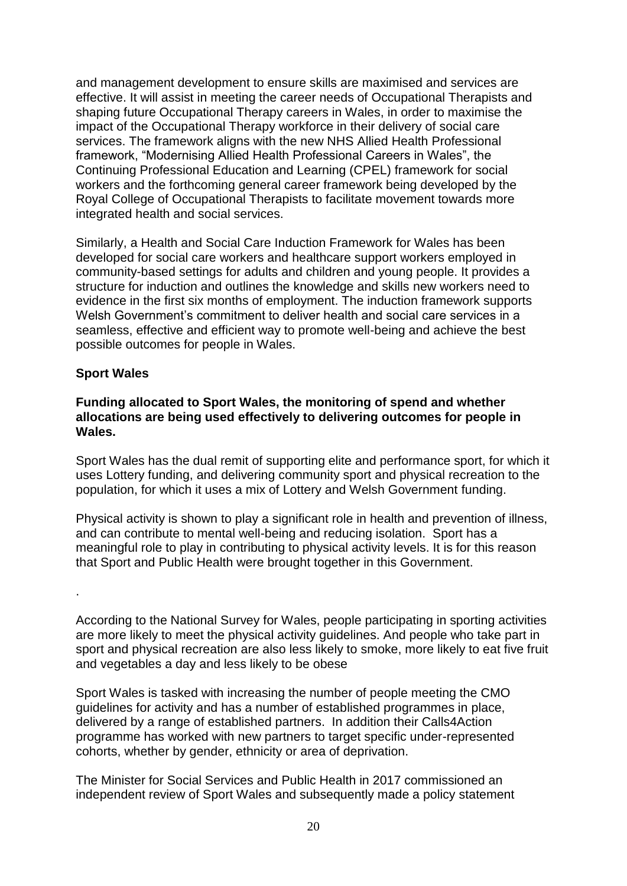and management development to ensure skills are maximised and services are effective. It will assist in meeting the career needs of Occupational Therapists and shaping future Occupational Therapy careers in Wales, in order to maximise the impact of the Occupational Therapy workforce in their delivery of social care services. The framework aligns with the new NHS Allied Health Professional framework, "Modernising Allied Health Professional Careers in Wales", the Continuing Professional Education and Learning (CPEL) framework for social workers and the forthcoming general career framework being developed by the Royal College of Occupational Therapists to facilitate movement towards more integrated health and social services.

Similarly, a Health and Social Care Induction Framework for Wales has been developed for social care workers and healthcare support workers employed in community-based settings for adults and children and young people. It provides a structure for induction and outlines the knowledge and skills new workers need to evidence in the first six months of employment. The induction framework supports Welsh Government's commitment to deliver health and social care services in a seamless, effective and efficient way to promote well-being and achieve the best possible outcomes for people in Wales.

#### **Sport Wales**

#### **Funding allocated to Sport Wales, the monitoring of spend and whether allocations are being used effectively to delivering outcomes for people in Wales.**

Sport Wales has the dual remit of supporting elite and performance sport, for which it uses Lottery funding, and delivering community sport and physical recreation to the population, for which it uses a mix of Lottery and Welsh Government funding.

Physical activity is shown to play a significant role in health and prevention of illness, and can contribute to mental well-being and reducing isolation. Sport has a meaningful role to play in contributing to physical activity levels. It is for this reason that Sport and Public Health were brought together in this Government.

.

According to the National Survey for Wales, people participating in sporting activities are more likely to meet the physical activity guidelines. And people who take part in sport and physical recreation are also less likely to smoke, more likely to eat five fruit and vegetables a day and less likely to be obese

Sport Wales is tasked with increasing the number of people meeting the CMO guidelines for activity and has a number of established programmes in place, delivered by a range of established partners. In addition their Calls4Action programme has worked with new partners to target specific under-represented cohorts, whether by gender, ethnicity or area of deprivation.

The Minister for Social Services and Public Health in 2017 commissioned an independent review of Sport Wales and subsequently made a policy statement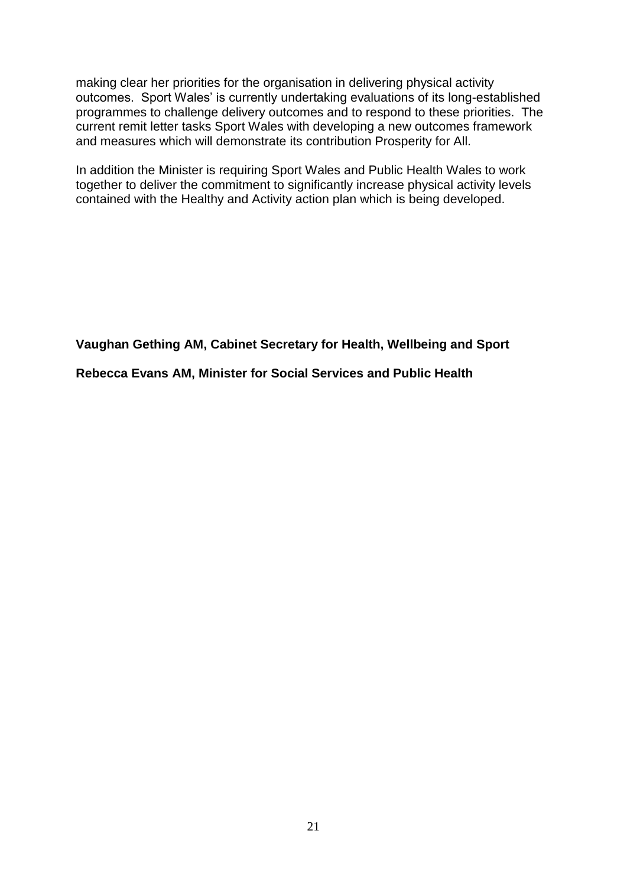making clear her priorities for the organisation in delivering physical activity outcomes. Sport Wales' is currently undertaking evaluations of its long-established programmes to challenge delivery outcomes and to respond to these priorities. The current remit letter tasks Sport Wales with developing a new outcomes framework and measures which will demonstrate its contribution Prosperity for All.

In addition the Minister is requiring Sport Wales and Public Health Wales to work together to deliver the commitment to significantly increase physical activity levels contained with the Healthy and Activity action plan which is being developed.

**Vaughan Gething AM, Cabinet Secretary for Health, Wellbeing and Sport**

**Rebecca Evans AM, Minister for Social Services and Public Health**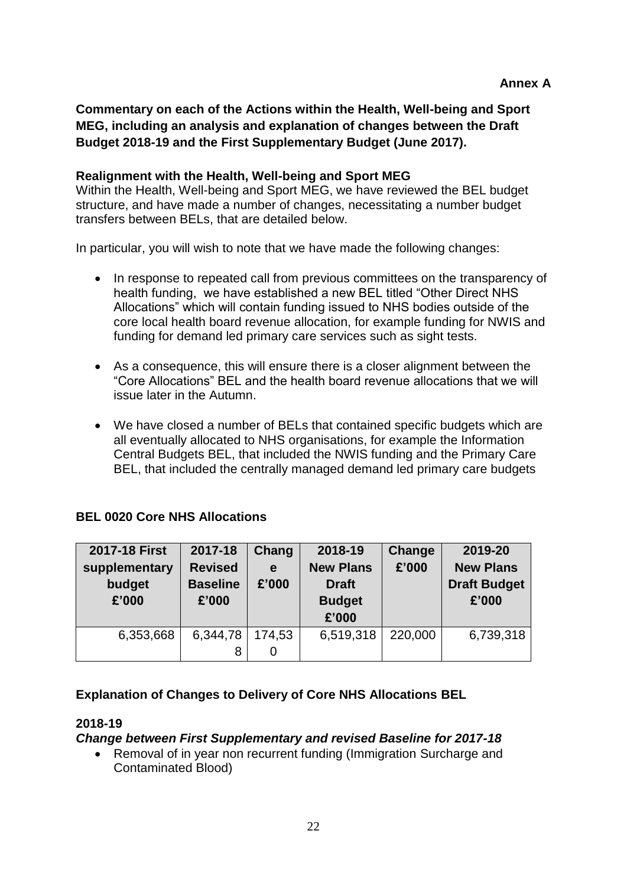**Commentary on each of the Actions within the Health, Well-being and Sport MEG, including an analysis and explanation of changes between the Draft Budget 2018-19 and the First Supplementary Budget (June 2017).**

#### **Realignment with the Health, Well-being and Sport MEG**

Within the Health, Well-being and Sport MEG, we have reviewed the BEL budget structure, and have made a number of changes, necessitating a number budget transfers between BELs, that are detailed below.

In particular, you will wish to note that we have made the following changes:

- In response to repeated call from previous committees on the transparency of health funding, we have established a new BEL titled "Other Direct NHS Allocations" which will contain funding issued to NHS bodies outside of the core local health board revenue allocation, for example funding for NWIS and funding for demand led primary care services such as sight tests.
- As a consequence, this will ensure there is a closer alignment between the "Core Allocations" BEL and the health board revenue allocations that we will issue later in the Autumn.
- We have closed a number of BELs that contained specific budgets which are all eventually allocated to NHS organisations, for example the Information Central Budgets BEL, that included the NWIS funding and the Primary Care BEL, that included the centrally managed demand led primary care budgets

#### **BEL 0020 Core NHS Allocations**

| 2017-18 First | 2017-18         | Chang  | 2018-19          | Change  | 2019-20             |
|---------------|-----------------|--------|------------------|---------|---------------------|
| supplementary | <b>Revised</b>  | e      | <b>New Plans</b> | £'000   | <b>New Plans</b>    |
| budget        | <b>Baseline</b> | £'000  | <b>Draft</b>     |         | <b>Draft Budget</b> |
| £'000         | £'000           |        | <b>Budget</b>    |         | £'000               |
|               |                 |        | £'000            |         |                     |
| 6,353,668     | 6,344,78        | 174,53 | 6,519,318        | 220,000 | 6,739,318           |
|               | 8               | 0      |                  |         |                     |

#### **Explanation of Changes to Delivery of Core NHS Allocations BEL**

#### **2018-19**

#### *Change between First Supplementary and revised Baseline for 2017-18*

 Removal of in year non recurrent funding (Immigration Surcharge and Contaminated Blood)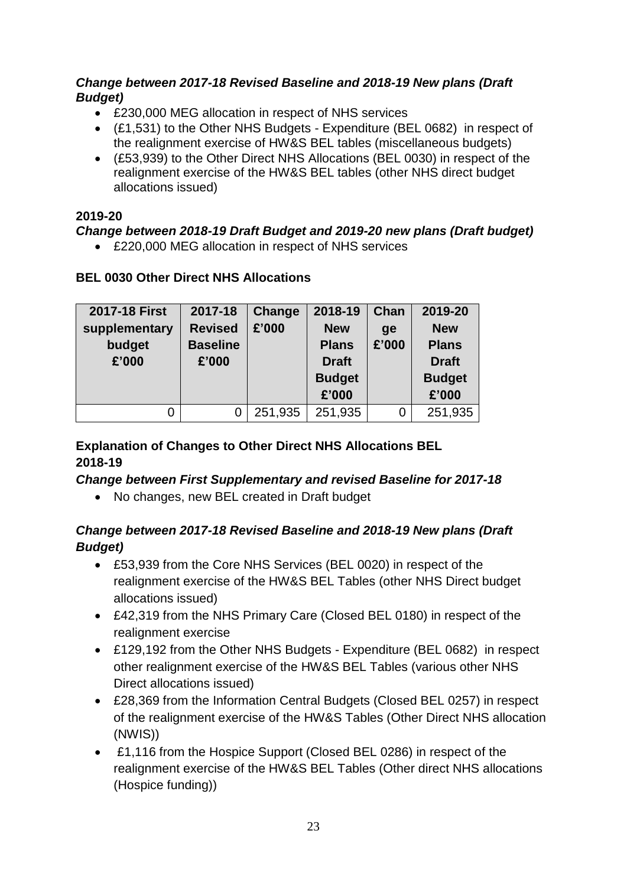#### *Change between 2017-18 Revised Baseline and 2018-19 New plans (Draft Budget)*

- £230,000 MEG allocation in respect of NHS services
- (£1,531) to the Other NHS Budgets Expenditure (BEL 0682) in respect of the realignment exercise of HW&S BEL tables (miscellaneous budgets)
- (£53,939) to the Other Direct NHS Allocations (BEL 0030) in respect of the realignment exercise of the HW&S BEL tables (other NHS direct budget allocations issued)

#### **2019-20**

#### *Change between 2018-19 Draft Budget and 2019-20 new plans (Draft budget)*

£220,000 MEG allocation in respect of NHS services

#### **BEL 0030 Other Direct NHS Allocations**

| 2017-18 First | 2017-18         | Change  | 2018-19       | Chan  | 2019-20       |
|---------------|-----------------|---------|---------------|-------|---------------|
| supplementary | <b>Revised</b>  | £'000   | <b>New</b>    | ge    | <b>New</b>    |
| budget        | <b>Baseline</b> |         | <b>Plans</b>  | £'000 | <b>Plans</b>  |
| £'000         | £'000           |         | <b>Draft</b>  |       | <b>Draft</b>  |
|               |                 |         | <b>Budget</b> |       | <b>Budget</b> |
|               |                 |         | £'000         |       | £'000         |
|               | 0               | 251,935 | 251,935       | 0     | 251,935       |

### **Explanation of Changes to Other Direct NHS Allocations BEL 2018-19**

#### *Change between First Supplementary and revised Baseline for 2017-18*

No changes, new BEL created in Draft budget

### *Change between 2017-18 Revised Baseline and 2018-19 New plans (Draft Budget)*

- £53,939 from the Core NHS Services (BEL 0020) in respect of the realignment exercise of the HW&S BEL Tables (other NHS Direct budget allocations issued)
- £42,319 from the NHS Primary Care (Closed BEL 0180) in respect of the realignment exercise
- £129,192 from the Other NHS Budgets Expenditure (BEL 0682) in respect other realignment exercise of the HW&S BEL Tables (various other NHS Direct allocations issued)
- £28,369 from the Information Central Budgets (Closed BEL 0257) in respect of the realignment exercise of the HW&S Tables (Other Direct NHS allocation (NWIS))
- £1,116 from the Hospice Support (Closed BEL 0286) in respect of the realignment exercise of the HW&S BEL Tables (Other direct NHS allocations (Hospice funding))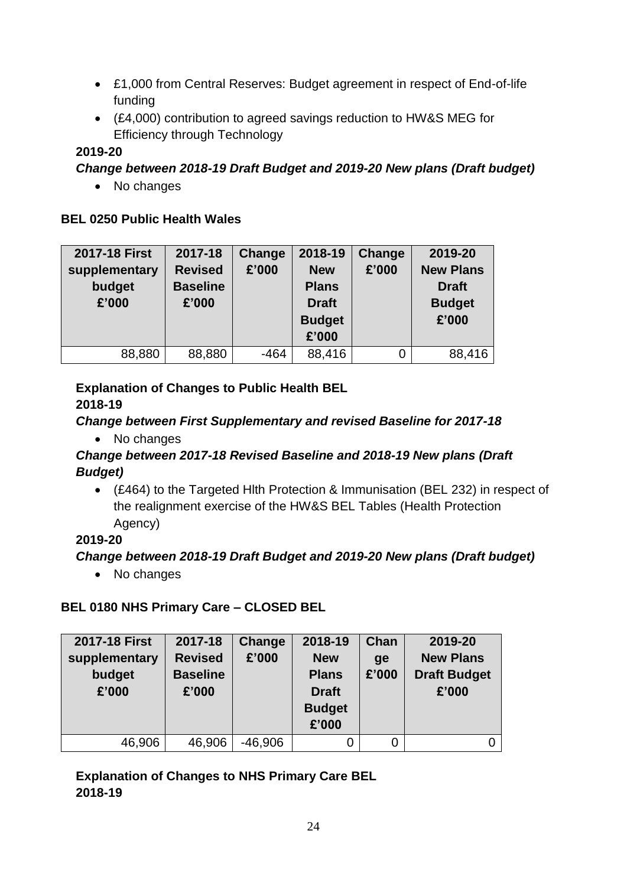- £1,000 from Central Reserves: Budget agreement in respect of End-of-life funding
- (£4,000) contribution to agreed savings reduction to HW&S MEG for Efficiency through Technology

### **2019-20**

### *Change between 2018-19 Draft Budget and 2019-20 New plans (Draft budget)*

• No changes

### **BEL 0250 Public Health Wales**

| 2017-18 First | 2017-18         | Change | 2018-19       | <b>Change</b> | 2019-20          |
|---------------|-----------------|--------|---------------|---------------|------------------|
| supplementary | <b>Revised</b>  | £'000  | <b>New</b>    | £'000         | <b>New Plans</b> |
| budget        | <b>Baseline</b> |        | <b>Plans</b>  |               | <b>Draft</b>     |
| £'000         | £'000           |        | <b>Draft</b>  |               | <b>Budget</b>    |
|               |                 |        | <b>Budget</b> |               | £'000            |
|               |                 |        | £'000         |               |                  |
| 88,880        | 88,880          | $-464$ | 88,416        | 0             | 88,416           |

# **Explanation of Changes to Public Health BEL**

### **2018-19**

### *Change between First Supplementary and revised Baseline for 2017-18*

• No changes

### *Change between 2017-18 Revised Baseline and 2018-19 New plans (Draft Budget)*

 (£464) to the Targeted Hlth Protection & Immunisation (BEL 232) in respect of the realignment exercise of the HW&S BEL Tables (Health Protection Agency)

# **2019-20**

# *Change between 2018-19 Draft Budget and 2019-20 New plans (Draft budget)*

• No changes

# **BEL 0180 NHS Primary Care – CLOSED BEL**

| 2017-18 First                    | 2017-18                                    | Change    | 2018-19                                                              | Chan        | 2019-20                                          |
|----------------------------------|--------------------------------------------|-----------|----------------------------------------------------------------------|-------------|--------------------------------------------------|
| supplementary<br>budget<br>£'000 | <b>Revised</b><br><b>Baseline</b><br>£'000 | £'000     | <b>New</b><br><b>Plans</b><br><b>Draft</b><br><b>Budget</b><br>£'000 | ge<br>£'000 | <b>New Plans</b><br><b>Draft Budget</b><br>£'000 |
| 46,906                           | 46,906                                     | $-46,906$ |                                                                      | 0           |                                                  |

### **Explanation of Changes to NHS Primary Care BEL 2018-19**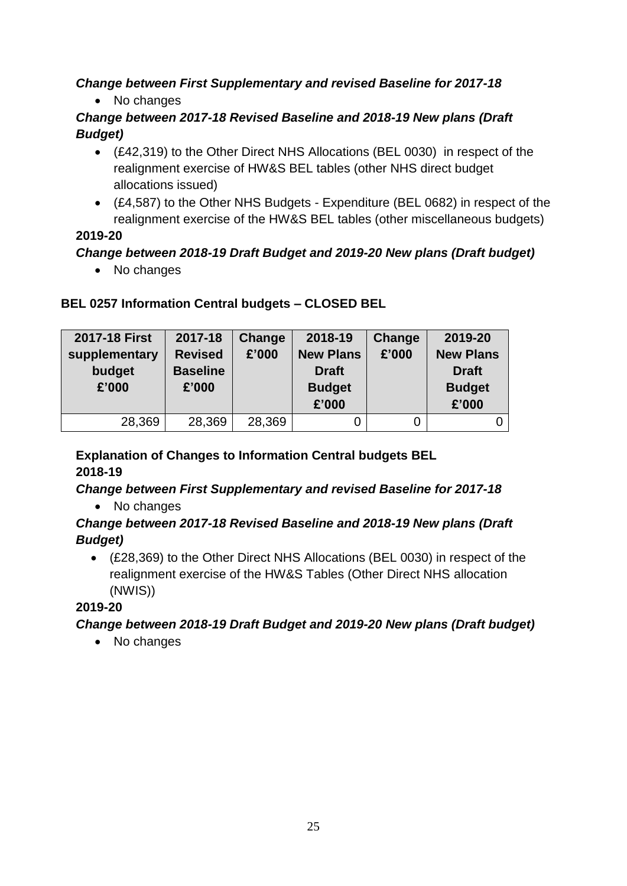# *Change between First Supplementary and revised Baseline for 2017-18*

• No changes

### *Change between 2017-18 Revised Baseline and 2018-19 New plans (Draft Budget)*

- (£42,319) to the Other Direct NHS Allocations (BEL 0030) in respect of the realignment exercise of HW&S BEL tables (other NHS direct budget allocations issued)
- (£4,587) to the Other NHS Budgets Expenditure (BEL 0682) in respect of the realignment exercise of the HW&S BEL tables (other miscellaneous budgets)

### **2019-20**

### *Change between 2018-19 Draft Budget and 2019-20 New plans (Draft budget)*

• No changes

### **BEL 0257 Information Central budgets – CLOSED BEL**

| 2017-18 First<br>supplementary<br>budget<br>£'000 | 2017-18<br><b>Revised</b><br><b>Baseline</b><br>£'000 | Change<br>£'000 | 2018-19<br><b>New Plans</b><br><b>Draft</b><br><b>Budget</b><br>£'000 | <b>Change</b><br>£'000 | 2019-20<br><b>New Plans</b><br><b>Draft</b><br><b>Budget</b><br>£'000 |
|---------------------------------------------------|-------------------------------------------------------|-----------------|-----------------------------------------------------------------------|------------------------|-----------------------------------------------------------------------|
| 28,369                                            | 28,369                                                | 28,369          |                                                                       | 0                      |                                                                       |

#### **Explanation of Changes to Information Central budgets BEL 2018-19**

### *Change between First Supplementary and revised Baseline for 2017-18*

• No changes

### *Change between 2017-18 Revised Baseline and 2018-19 New plans (Draft Budget)*

 (£28,369) to the Other Direct NHS Allocations (BEL 0030) in respect of the realignment exercise of the HW&S Tables (Other Direct NHS allocation (NWIS))

# **2019-20**

# *Change between 2018-19 Draft Budget and 2019-20 New plans (Draft budget)*

• No changes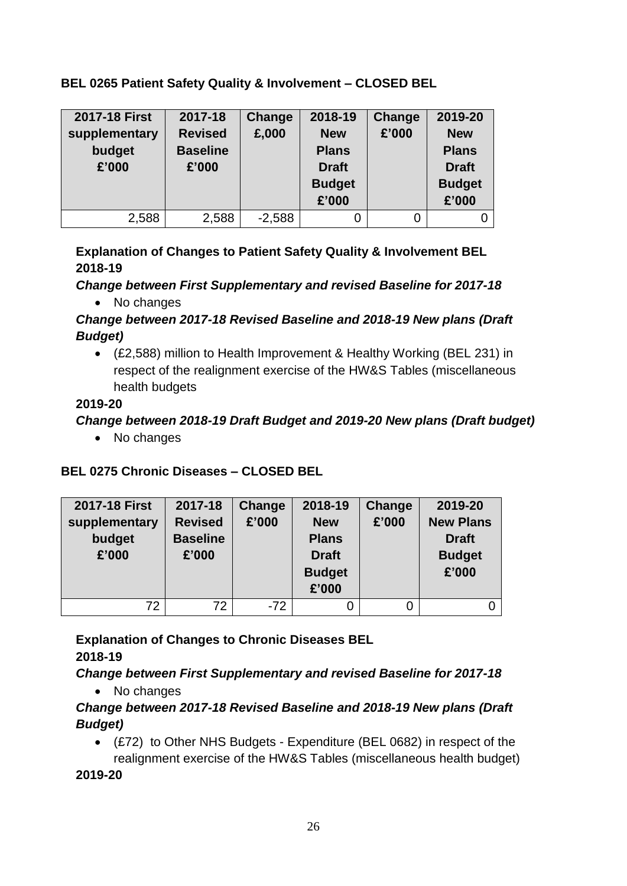#### **BEL 0265 Patient Safety Quality & Involvement – CLOSED BEL**

| 2017-18 First<br>supplementary<br>budget<br>£'000 | 2017-18<br><b>Revised</b><br><b>Baseline</b><br>£'000 | Change<br>£,000 | 2018-19<br><b>New</b><br><b>Plans</b><br><b>Draft</b><br><b>Budget</b><br>£'000 | <b>Change</b><br>£'000 | 2019-20<br><b>New</b><br><b>Plans</b><br><b>Draft</b><br><b>Budget</b><br>£'000 |
|---------------------------------------------------|-------------------------------------------------------|-----------------|---------------------------------------------------------------------------------|------------------------|---------------------------------------------------------------------------------|
| 2,588                                             | 2,588                                                 | $-2,588$        |                                                                                 |                        |                                                                                 |

### **Explanation of Changes to Patient Safety Quality & Involvement BEL 2018-19**

*Change between First Supplementary and revised Baseline for 2017-18*

• No changes

### *Change between 2017-18 Revised Baseline and 2018-19 New plans (Draft Budget)*

 (£2,588) million to Health Improvement & Healthy Working (BEL 231) in respect of the realignment exercise of the HW&S Tables (miscellaneous health budgets

#### **2019-20**

### *Change between 2018-19 Draft Budget and 2019-20 New plans (Draft budget)*

• No changes

# **BEL 0275 Chronic Diseases – CLOSED BEL**

| 2017-18 First<br>supplementary<br>budget<br>£'000 | 2017-18<br><b>Revised</b><br><b>Baseline</b><br>£'000 | Change<br>£'000 | 2018-19<br><b>New</b><br><b>Plans</b><br><b>Draft</b><br><b>Budget</b><br>£'000 | Change<br>£'000 | 2019-20<br><b>New Plans</b><br><b>Draft</b><br><b>Budget</b><br>£'000 |
|---------------------------------------------------|-------------------------------------------------------|-----------------|---------------------------------------------------------------------------------|-----------------|-----------------------------------------------------------------------|
| 72                                                | 72                                                    | $-72$           |                                                                                 |                 |                                                                       |

**Explanation of Changes to Chronic Diseases BEL 2018-19**

# *Change between First Supplementary and revised Baseline for 2017-18*

• No changes

### *Change between 2017-18 Revised Baseline and 2018-19 New plans (Draft Budget)*

 (£72) to Other NHS Budgets - Expenditure (BEL 0682) in respect of the realignment exercise of the HW&S Tables (miscellaneous health budget)

**2019-20**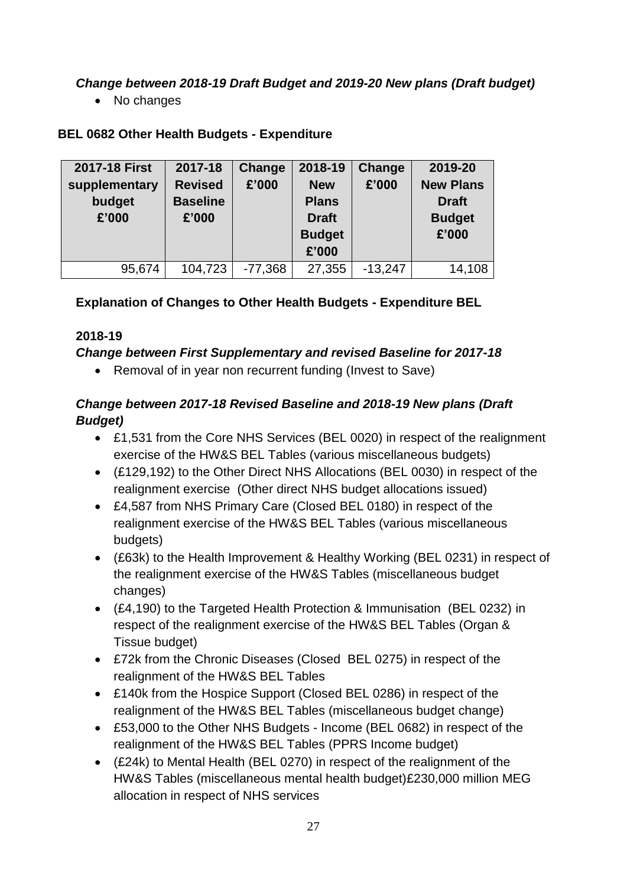*Change between 2018-19 Draft Budget and 2019-20 New plans (Draft budget)*

• No changes

# **BEL 0682 Other Health Budgets - Expenditure**

| 2017-18 First | 2017-18         | <b>Change</b> | 2018-19       | <b>Change</b> | 2019-20          |
|---------------|-----------------|---------------|---------------|---------------|------------------|
| supplementary | <b>Revised</b>  | £'000         | <b>New</b>    | £'000         | <b>New Plans</b> |
| budget        | <b>Baseline</b> |               | <b>Plans</b>  |               | <b>Draft</b>     |
| £'000         | £'000           |               | <b>Draft</b>  |               | <b>Budget</b>    |
|               |                 |               | <b>Budget</b> |               | £'000            |
|               |                 |               | £'000         |               |                  |
|               |                 |               |               |               | 14,108           |

# **Explanation of Changes to Other Health Budgets - Expenditure BEL**

### **2018-19**

### *Change between First Supplementary and revised Baseline for 2017-18*

• Removal of in year non recurrent funding (Invest to Save)

# *Change between 2017-18 Revised Baseline and 2018-19 New plans (Draft Budget)*

- £1,531 from the Core NHS Services (BEL 0020) in respect of the realignment exercise of the HW&S BEL Tables (various miscellaneous budgets)
- (£129,192) to the Other Direct NHS Allocations (BEL 0030) in respect of the realignment exercise (Other direct NHS budget allocations issued)
- £4,587 from NHS Primary Care (Closed BEL 0180) in respect of the realignment exercise of the HW&S BEL Tables (various miscellaneous budgets)
- (£63k) to the Health Improvement & Healthy Working (BEL 0231) in respect of the realignment exercise of the HW&S Tables (miscellaneous budget changes)
- (£4,190) to the Targeted Health Protection & Immunisation (BEL 0232) in respect of the realignment exercise of the HW&S BEL Tables (Organ & Tissue budget)
- £72k from the Chronic Diseases (Closed BEL 0275) in respect of the realignment of the HW&S BEL Tables
- £140k from the Hospice Support (Closed BEL 0286) in respect of the realignment of the HW&S BEL Tables (miscellaneous budget change)
- £53,000 to the Other NHS Budgets Income (BEL 0682) in respect of the realignment of the HW&S BEL Tables (PPRS Income budget)
- (£24k) to Mental Health (BEL 0270) in respect of the realignment of the HW&S Tables (miscellaneous mental health budget)£230,000 million MEG allocation in respect of NHS services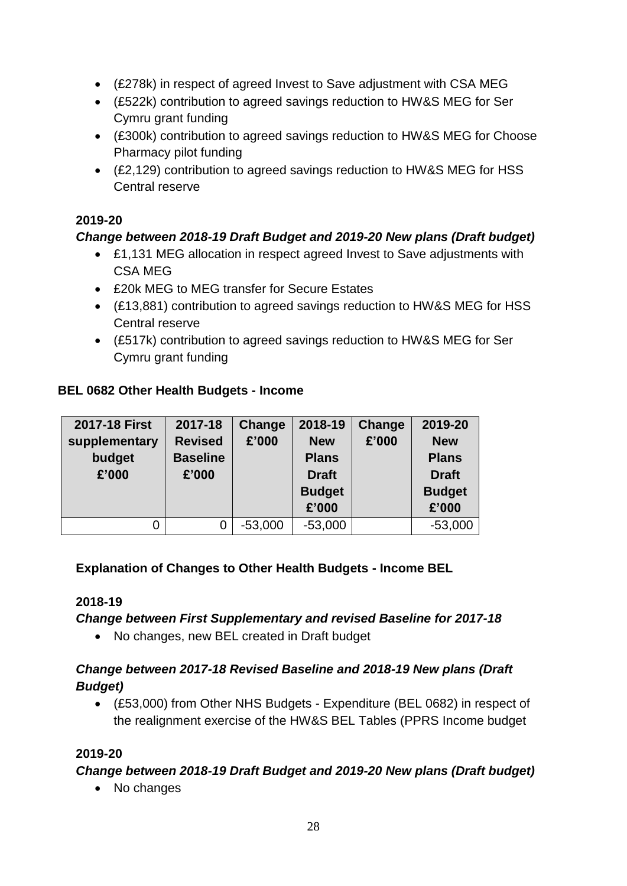- (£278k) in respect of agreed Invest to Save adjustment with CSA MEG
- (£522k) contribution to agreed savings reduction to HW&S MEG for Ser Cymru grant funding
- (£300k) contribution to agreed savings reduction to HW&S MEG for Choose Pharmacy pilot funding
- (£2,129) contribution to agreed savings reduction to HW&S MEG for HSS Central reserve

#### **2019-20**

### *Change between 2018-19 Draft Budget and 2019-20 New plans (Draft budget)*

- £1,131 MEG allocation in respect agreed Invest to Save adjustments with CSA MEG
- £20k MEG to MEG transfer for Secure Estates
- (£13,881) contribution to agreed savings reduction to HW&S MEG for HSS Central reserve
- (£517k) contribution to agreed savings reduction to HW&S MEG for Ser Cymru grant funding

#### **BEL 0682 Other Health Budgets - Income**

| 2017-18 First<br>supplementary<br>budget<br>£'000 | 2017-18<br><b>Revised</b><br><b>Baseline</b><br>£'000 | Change<br>£'000 | 2018-19<br><b>New</b><br><b>Plans</b><br><b>Draft</b><br><b>Budget</b> | Change<br>£'000 | 2019-20<br><b>New</b><br><b>Plans</b><br><b>Draft</b><br><b>Budget</b> |
|---------------------------------------------------|-------------------------------------------------------|-----------------|------------------------------------------------------------------------|-----------------|------------------------------------------------------------------------|
|                                                   |                                                       |                 | £'000                                                                  |                 | £'000                                                                  |
| 0                                                 | 0                                                     | $-53,000$       | $-53,000$                                                              |                 | $-53,000$                                                              |

### **Explanation of Changes to Other Health Budgets - Income BEL**

#### **2018-19**

#### *Change between First Supplementary and revised Baseline for 2017-18*

• No changes, new BEL created in Draft budget

#### *Change between 2017-18 Revised Baseline and 2018-19 New plans (Draft Budget)*

 (£53,000) from Other NHS Budgets - Expenditure (BEL 0682) in respect of the realignment exercise of the HW&S BEL Tables (PPRS Income budget

#### **2019-20**

#### *Change between 2018-19 Draft Budget and 2019-20 New plans (Draft budget)*

• No changes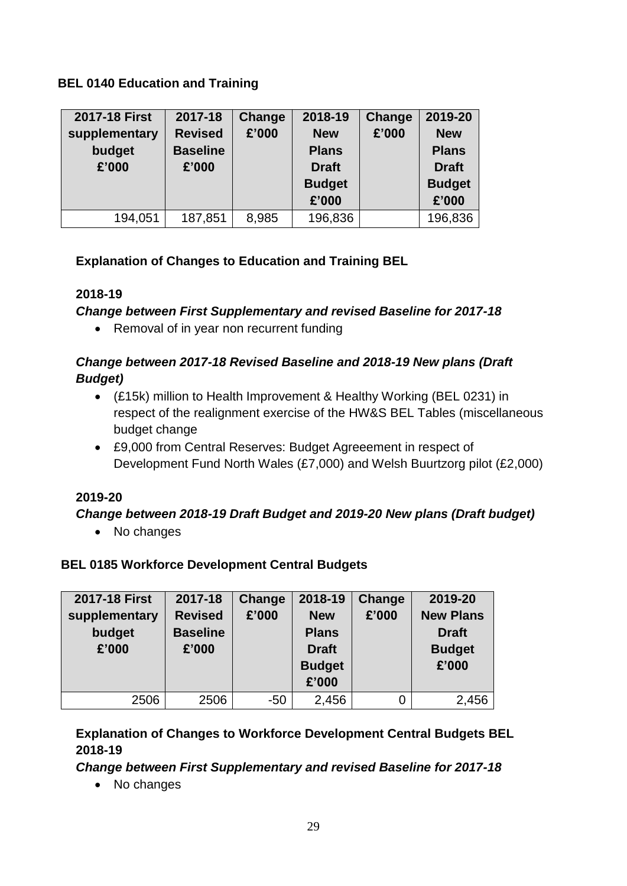#### **BEL 0140 Education and Training**

| 2017-18 First<br>supplementary<br>budget<br>£'000 | 2017-18<br><b>Revised</b><br><b>Baseline</b><br>£'000 | Change<br>£'000 | 2018-19<br><b>New</b><br><b>Plans</b><br><b>Draft</b><br><b>Budget</b><br>£'000 | Change<br>£'000 | 2019-20<br><b>New</b><br><b>Plans</b><br><b>Draft</b><br><b>Budget</b><br>£'000 |
|---------------------------------------------------|-------------------------------------------------------|-----------------|---------------------------------------------------------------------------------|-----------------|---------------------------------------------------------------------------------|
| 194,051                                           | 187,851                                               | 8,985           | 196,836                                                                         |                 | 196,836                                                                         |

### **Explanation of Changes to Education and Training BEL**

### **2018-19**

#### *Change between First Supplementary and revised Baseline for 2017-18*

• Removal of in year non recurrent funding

### *Change between 2017-18 Revised Baseline and 2018-19 New plans (Draft Budget)*

- (£15k) million to Health Improvement & Healthy Working (BEL 0231) in respect of the realignment exercise of the HW&S BEL Tables (miscellaneous budget change
- £9,000 from Central Reserves: Budget Agreeement in respect of Development Fund North Wales (£7,000) and Welsh Buurtzorg pilot (£2,000)

### **2019-20**

### *Change between 2018-19 Draft Budget and 2019-20 New plans (Draft budget)*

• No changes

### **BEL 0185 Workforce Development Central Budgets**

| 2017-18 First                    | 2017-18                                    | Change | 2018-19                                                              | Change | 2019-20                                                    |
|----------------------------------|--------------------------------------------|--------|----------------------------------------------------------------------|--------|------------------------------------------------------------|
| supplementary<br>budget<br>£'000 | <b>Revised</b><br><b>Baseline</b><br>£'000 | £'000  | <b>New</b><br><b>Plans</b><br><b>Draft</b><br><b>Budget</b><br>£'000 | £'000  | <b>New Plans</b><br><b>Draft</b><br><b>Budget</b><br>£'000 |
| 2506                             | 2506                                       | $-50$  | 2,456                                                                |        | 2,456                                                      |

### **Explanation of Changes to Workforce Development Central Budgets BEL 2018-19**

#### *Change between First Supplementary and revised Baseline for 2017-18*

• No changes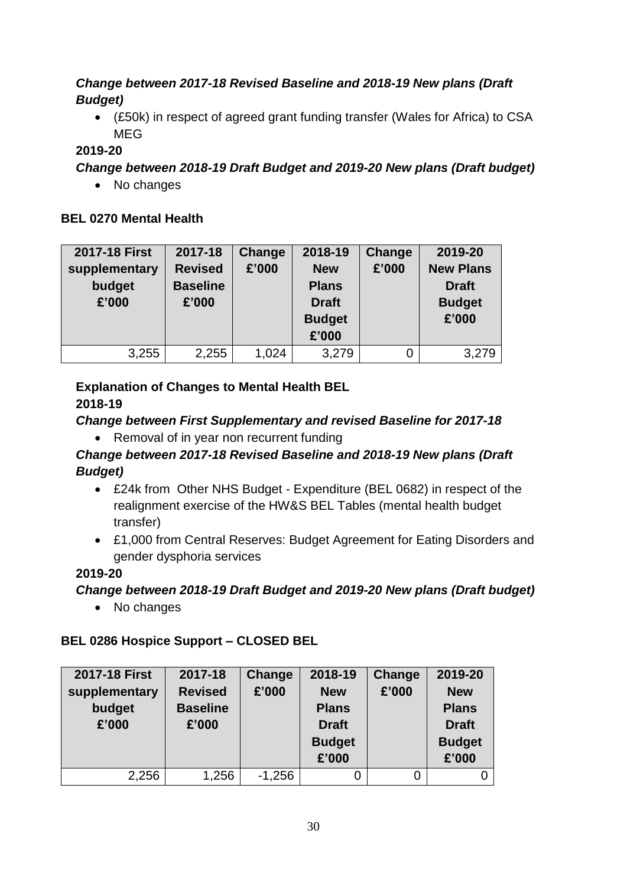### *Change between 2017-18 Revised Baseline and 2018-19 New plans (Draft Budget)*

 (£50k) in respect of agreed grant funding transfer (Wales for Africa) to CSA MEG

### **2019-20**

*Change between 2018-19 Draft Budget and 2019-20 New plans (Draft budget)*

• No changes

#### **BEL 0270 Mental Health**

| 2017-18 First                    | 2017-18                                    | <b>Change</b> | 2018-19                                                              | <b>Change</b> | 2019-20                                                    |
|----------------------------------|--------------------------------------------|---------------|----------------------------------------------------------------------|---------------|------------------------------------------------------------|
| supplementary<br>budget<br>£'000 | <b>Revised</b><br><b>Baseline</b><br>£'000 | £'000         | <b>New</b><br><b>Plans</b><br><b>Draft</b><br><b>Budget</b><br>£'000 | £'000         | <b>New Plans</b><br><b>Draft</b><br><b>Budget</b><br>£'000 |
| 3,255                            | 2,255                                      | 1,024         | 3,279                                                                |               | 3,279                                                      |

#### **Explanation of Changes to Mental Health BEL 2018-19**

### *Change between First Supplementary and revised Baseline for 2017-18*

• Removal of in year non recurrent funding

### *Change between 2017-18 Revised Baseline and 2018-19 New plans (Draft Budget)*

- £24k from Other NHS Budget Expenditure (BEL 0682) in respect of the realignment exercise of the HW&S BEL Tables (mental health budget transfer)
- £1,000 from Central Reserves: Budget Agreement for Eating Disorders and gender dysphoria services

### **2019-20**

*Change between 2018-19 Draft Budget and 2019-20 New plans (Draft budget)*

• No changes

# **BEL 0286 Hospice Support – CLOSED BEL**

| 2017-18 First | 2017-18         | Change   | 2018-19       | Change | 2019-20       |
|---------------|-----------------|----------|---------------|--------|---------------|
| supplementary | <b>Revised</b>  | £'000    | <b>New</b>    | £'000  | <b>New</b>    |
| budget        | <b>Baseline</b> |          | <b>Plans</b>  |        | <b>Plans</b>  |
| £'000         | £'000           |          | <b>Draft</b>  |        | <b>Draft</b>  |
|               |                 |          | <b>Budget</b> |        | <b>Budget</b> |
|               |                 |          | £'000         |        | £'000         |
| 2,256         | 1,256           | $-1,256$ |               |        |               |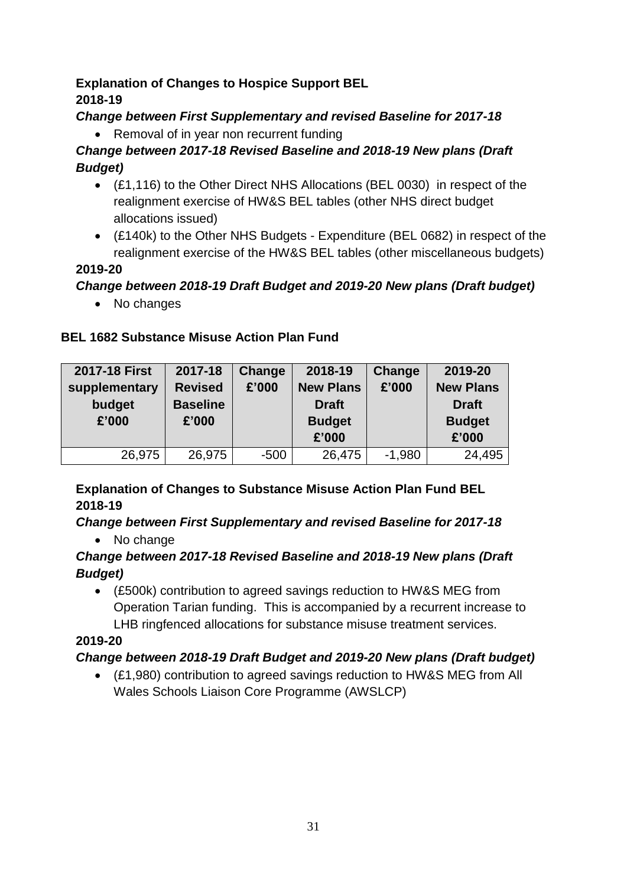### **Explanation of Changes to Hospice Support BEL 2018-19**

### *Change between First Supplementary and revised Baseline for 2017-18*

• Removal of in year non recurrent funding

# *Change between 2017-18 Revised Baseline and 2018-19 New plans (Draft Budget)*

- (£1,116) to the Other Direct NHS Allocations (BEL 0030) in respect of the realignment exercise of HW&S BEL tables (other NHS direct budget allocations issued)
- (£140k) to the Other NHS Budgets Expenditure (BEL 0682) in respect of the realignment exercise of the HW&S BEL tables (other miscellaneous budgets)

### **2019-20**

### *Change between 2018-19 Draft Budget and 2019-20 New plans (Draft budget)*

• No changes

### **BEL 1682 Substance Misuse Action Plan Fund**

| 2017-18 First<br>supplementary<br>budget<br>£'000 | 2017-18<br><b>Revised</b><br><b>Baseline</b><br>£'000 | Change<br>£'000 | 2018-19<br><b>New Plans</b><br><b>Draft</b><br><b>Budget</b><br>£'000 | Change<br>£'000 | 2019-20<br><b>New Plans</b><br><b>Draft</b><br><b>Budget</b><br>£'000 |
|---------------------------------------------------|-------------------------------------------------------|-----------------|-----------------------------------------------------------------------|-----------------|-----------------------------------------------------------------------|
| 26,975                                            | 26,975                                                | $-500$          | 26,475                                                                | $-1,980$        | 24,495                                                                |
|                                                   |                                                       |                 |                                                                       |                 |                                                                       |

### **Explanation of Changes to Substance Misuse Action Plan Fund BEL 2018-19**

### *Change between First Supplementary and revised Baseline for 2017-18*

• No change

### *Change between 2017-18 Revised Baseline and 2018-19 New plans (Draft Budget)*

 (£500k) contribution to agreed savings reduction to HW&S MEG from Operation Tarian funding. This is accompanied by a recurrent increase to LHB ringfenced allocations for substance misuse treatment services.

# **2019-20**

# *Change between 2018-19 Draft Budget and 2019-20 New plans (Draft budget)*

 (£1,980) contribution to agreed savings reduction to HW&S MEG from All Wales Schools Liaison Core Programme (AWSLCP)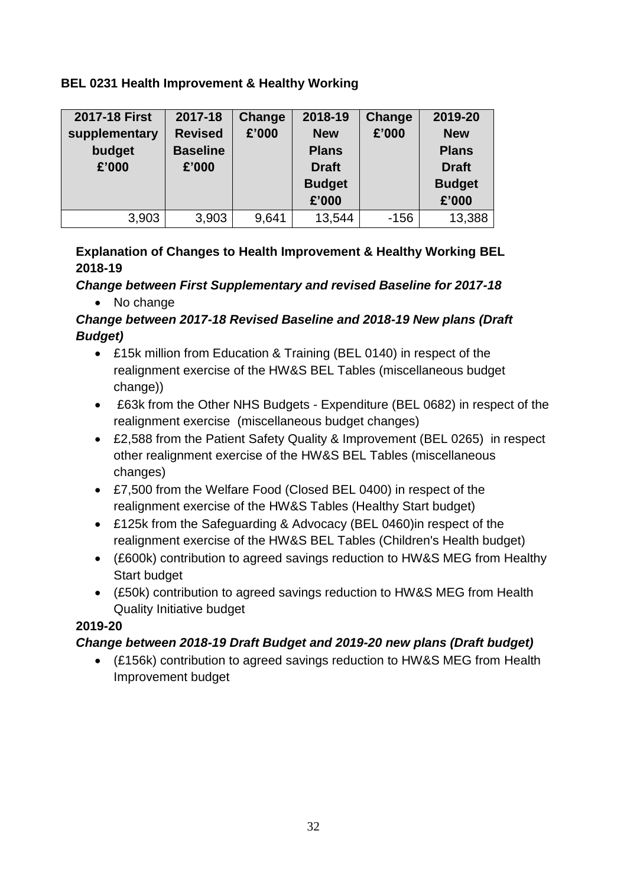### **BEL 0231 Health Improvement & Healthy Working**

| <b>2017-18 First</b><br>supplementary<br>budget<br>£'000 | 2017-18<br><b>Revised</b><br><b>Baseline</b><br>£'000 | <b>Change</b><br>£'000 | 2018-19<br><b>New</b><br><b>Plans</b><br><b>Draft</b><br><b>Budget</b><br>£'000 | <b>Change</b><br>£'000 | 2019-20<br><b>New</b><br><b>Plans</b><br><b>Draft</b><br><b>Budget</b><br>£'000 |
|----------------------------------------------------------|-------------------------------------------------------|------------------------|---------------------------------------------------------------------------------|------------------------|---------------------------------------------------------------------------------|
| 3,903                                                    | 3,903                                                 | 9,641                  | 13,544                                                                          | $-156$                 | 13,388                                                                          |

### **Explanation of Changes to Health Improvement & Healthy Working BEL 2018-19**

*Change between First Supplementary and revised Baseline for 2017-18*

• No change

### *Change between 2017-18 Revised Baseline and 2018-19 New plans (Draft Budget)*

- £15k million from Education & Training (BEL 0140) in respect of the realignment exercise of the HW&S BEL Tables (miscellaneous budget change))
- £63k from the Other NHS Budgets Expenditure (BEL 0682) in respect of the realignment exercise (miscellaneous budget changes)
- £2,588 from the Patient Safety Quality & Improvement (BEL 0265) in respect other realignment exercise of the HW&S BEL Tables (miscellaneous changes)
- £7,500 from the Welfare Food (Closed BEL 0400) in respect of the realignment exercise of the HW&S Tables (Healthy Start budget)
- £125k from the Safeguarding & Advocacy (BEL 0460)in respect of the realignment exercise of the HW&S BEL Tables (Children's Health budget)
- (£600k) contribution to agreed savings reduction to HW&S MEG from Healthy Start budget
- (£50k) contribution to agreed savings reduction to HW&S MEG from Health Quality Initiative budget

### **2019-20**

# *Change between 2018-19 Draft Budget and 2019-20 new plans (Draft budget)*

 (£156k) contribution to agreed savings reduction to HW&S MEG from Health Improvement budget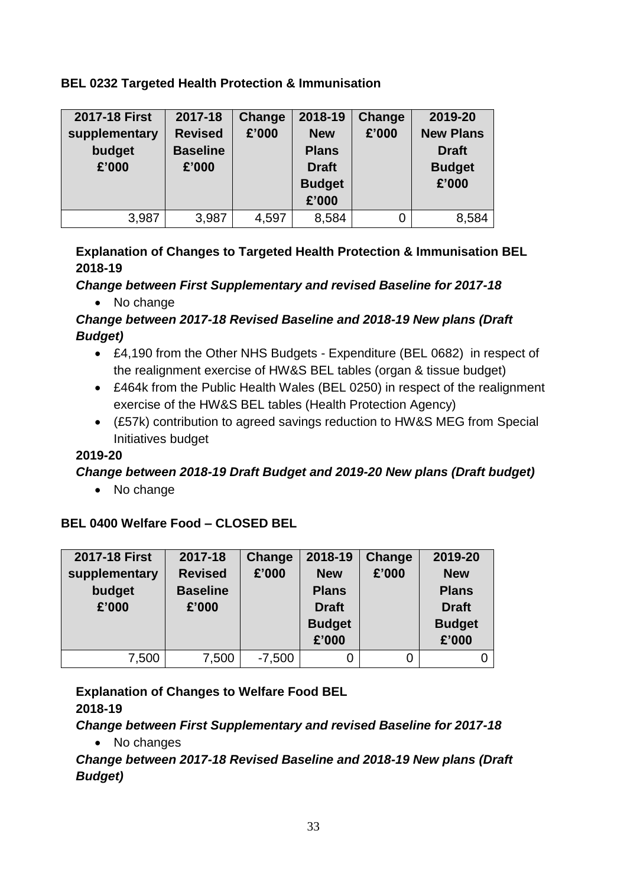#### **BEL 0232 Targeted Health Protection & Immunisation**

| 2017-18 First<br>supplementary<br>budget<br>£'000 | 2017-18<br><b>Revised</b><br><b>Baseline</b><br>£'000 | Change<br>£'000 | 2018-19<br><b>New</b><br><b>Plans</b><br><b>Draft</b><br><b>Budget</b><br>£'000 | Change<br>£'000 | 2019-20<br><b>New Plans</b><br><b>Draft</b><br><b>Budget</b><br>£'000 |
|---------------------------------------------------|-------------------------------------------------------|-----------------|---------------------------------------------------------------------------------|-----------------|-----------------------------------------------------------------------|
| 3,987                                             | 3,987                                                 | 4,597           | 8,584                                                                           |                 | 8,584                                                                 |

### **Explanation of Changes to Targeted Health Protection & Immunisation BEL 2018-19**

*Change between First Supplementary and revised Baseline for 2017-18*

• No change

### *Change between 2017-18 Revised Baseline and 2018-19 New plans (Draft Budget)*

- £4,190 from the Other NHS Budgets Expenditure (BEL 0682) in respect of the realignment exercise of HW&S BEL tables (organ & tissue budget)
- £464k from the Public Health Wales (BEL 0250) in respect of the realignment exercise of the HW&S BEL tables (Health Protection Agency)
- (£57k) contribution to agreed savings reduction to HW&S MEG from Special Initiatives budget

### **2019-20**

### *Change between 2018-19 Draft Budget and 2019-20 New plans (Draft budget)*

• No change

# **BEL 0400 Welfare Food – CLOSED BEL**

| 2017-18 First           | 2017-18                           | Change   | 2018-19                    | Change | 2019-20                    |
|-------------------------|-----------------------------------|----------|----------------------------|--------|----------------------------|
| supplementary<br>budget | <b>Revised</b><br><b>Baseline</b> | £'000    | <b>New</b><br><b>Plans</b> | £'000  | <b>New</b><br><b>Plans</b> |
| £'000                   | £'000                             |          | <b>Draft</b>               |        | <b>Draft</b>               |
|                         |                                   |          | <b>Budget</b><br>£'000     |        | <b>Budget</b><br>£'000     |
|                         |                                   |          |                            |        |                            |
| 7,500                   | 7,500                             | $-7,500$ | 0                          | 0      |                            |

# **Explanation of Changes to Welfare Food BEL**

**2018-19**

*Change between First Supplementary and revised Baseline for 2017-18*

• No changes

*Change between 2017-18 Revised Baseline and 2018-19 New plans (Draft Budget)*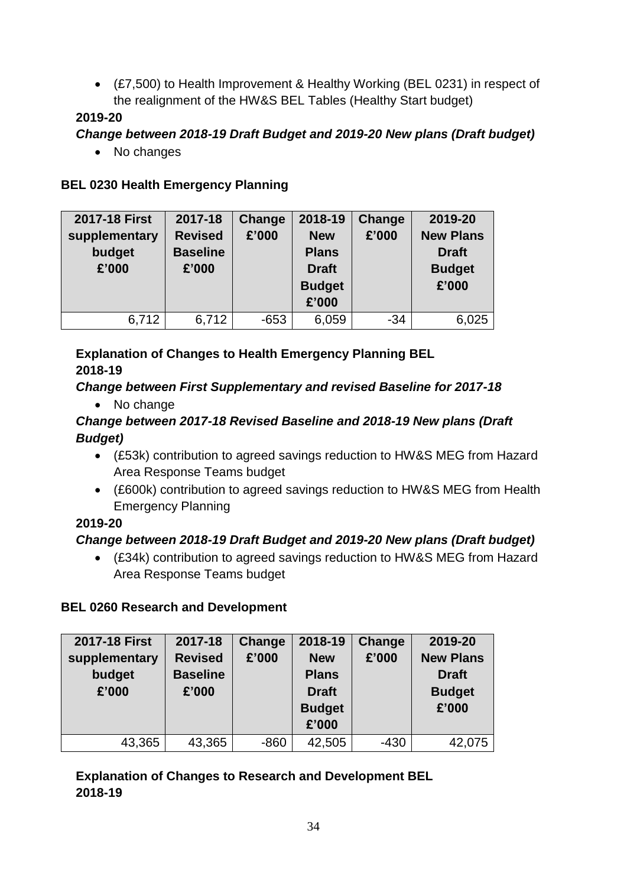(£7,500) to Health Improvement & Healthy Working (BEL 0231) in respect of the realignment of the HW&S BEL Tables (Healthy Start budget)

#### **2019-20**

### *Change between 2018-19 Draft Budget and 2019-20 New plans (Draft budget)*

• No changes

#### **BEL 0230 Health Emergency Planning**

| 2017-18 First | 2017-18         | Change | 2018-19       | Change | 2019-20          |
|---------------|-----------------|--------|---------------|--------|------------------|
| supplementary | <b>Revised</b>  | £'000  | <b>New</b>    | £'000  | <b>New Plans</b> |
| budget        | <b>Baseline</b> |        | <b>Plans</b>  |        | <b>Draft</b>     |
| £'000         | £'000           |        | <b>Draft</b>  |        | <b>Budget</b>    |
|               |                 |        | <b>Budget</b> |        | £'000            |
|               |                 |        | £'000         |        |                  |
| 6,712         | 6,712           | $-653$ | 6,059         | $-34$  | 6,025            |

### **Explanation of Changes to Health Emergency Planning BEL 2018-19**

# *Change between First Supplementary and revised Baseline for 2017-18*

• No change

### *Change between 2017-18 Revised Baseline and 2018-19 New plans (Draft Budget)*

- (£53k) contribution to agreed savings reduction to HW&S MEG from Hazard Area Response Teams budget
- (£600k) contribution to agreed savings reduction to HW&S MEG from Health Emergency Planning

### **2019-20**

# *Change between 2018-19 Draft Budget and 2019-20 New plans (Draft budget)*

 (£34k) contribution to agreed savings reduction to HW&S MEG from Hazard Area Response Teams budget

# **BEL 0260 Research and Development**

| 2017-18 First                    | 2017-18                                    | Change | 2018-19                                                              | Change | 2019-20                                                    |
|----------------------------------|--------------------------------------------|--------|----------------------------------------------------------------------|--------|------------------------------------------------------------|
| supplementary<br>budget<br>£'000 | <b>Revised</b><br><b>Baseline</b><br>£'000 | £'000  | <b>New</b><br><b>Plans</b><br><b>Draft</b><br><b>Budget</b><br>£'000 | £'000  | <b>New Plans</b><br><b>Draft</b><br><b>Budget</b><br>£'000 |
|                                  |                                            |        |                                                                      |        |                                                            |
| 43,365                           | 43,365                                     | $-860$ | 42,505                                                               | $-430$ | 42,075                                                     |

### **Explanation of Changes to Research and Development BEL 2018-19**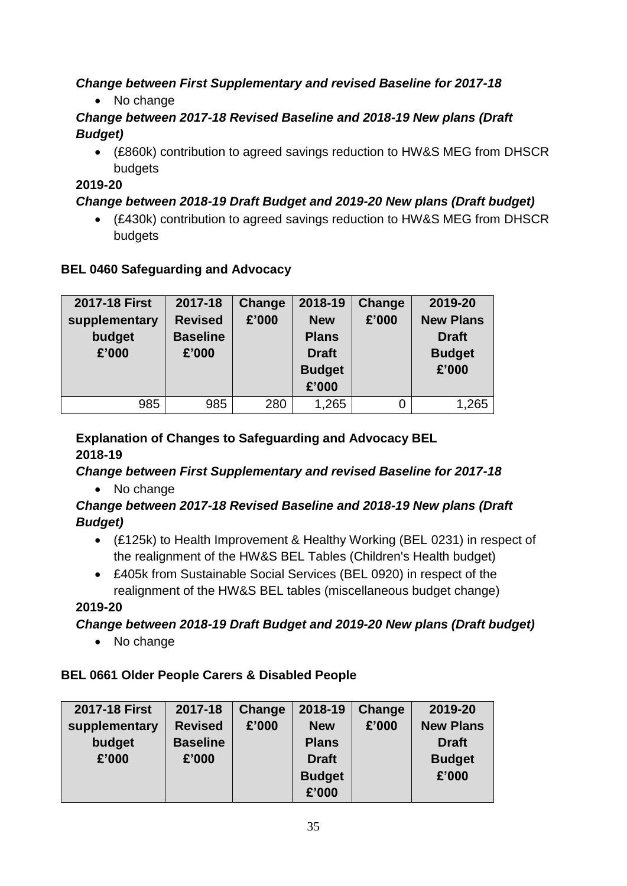# *Change between First Supplementary and revised Baseline for 2017-18*

• No change

### *Change between 2017-18 Revised Baseline and 2018-19 New plans (Draft Budget)*

 (£860k) contribution to agreed savings reduction to HW&S MEG from DHSCR budgets

### **2019-20**

# *Change between 2018-19 Draft Budget and 2019-20 New plans (Draft budget)*

 (£430k) contribution to agreed savings reduction to HW&S MEG from DHSCR budgets

### **BEL 0460 Safeguarding and Advocacy**

| 2017-18 First                    | 2017-18                                    | Change | 2018-19                                                              | Change | 2019-20                                                    |
|----------------------------------|--------------------------------------------|--------|----------------------------------------------------------------------|--------|------------------------------------------------------------|
| supplementary<br>budget<br>£'000 | <b>Revised</b><br><b>Baseline</b><br>£'000 | £'000  | <b>New</b><br><b>Plans</b><br><b>Draft</b><br><b>Budget</b><br>£'000 | £'000  | <b>New Plans</b><br><b>Draft</b><br><b>Budget</b><br>£'000 |
| 985                              | 985                                        | 280    | 1,265                                                                |        | 1,265                                                      |

#### **Explanation of Changes to Safeguarding and Advocacy BEL 2018-19**

# *Change between First Supplementary and revised Baseline for 2017-18*

• No change

### *Change between 2017-18 Revised Baseline and 2018-19 New plans (Draft Budget)*

- (£125k) to Health Improvement & Healthy Working (BEL 0231) in respect of the realignment of the HW&S BEL Tables (Children's Health budget)
- £405k from Sustainable Social Services (BEL 0920) in respect of the realignment of the HW&S BEL tables (miscellaneous budget change)

### **2019-20**

# *Change between 2018-19 Draft Budget and 2019-20 New plans (Draft budget)*

• No change

# **BEL 0661 Older People Carers & Disabled People**

| 2019-20<br><b>Change</b>  |
|---------------------------|
|                           |
| £'000<br><b>New Plans</b> |
| <b>Draft</b>              |
| <b>Budget</b>             |
| £'000                     |
|                           |
|                           |